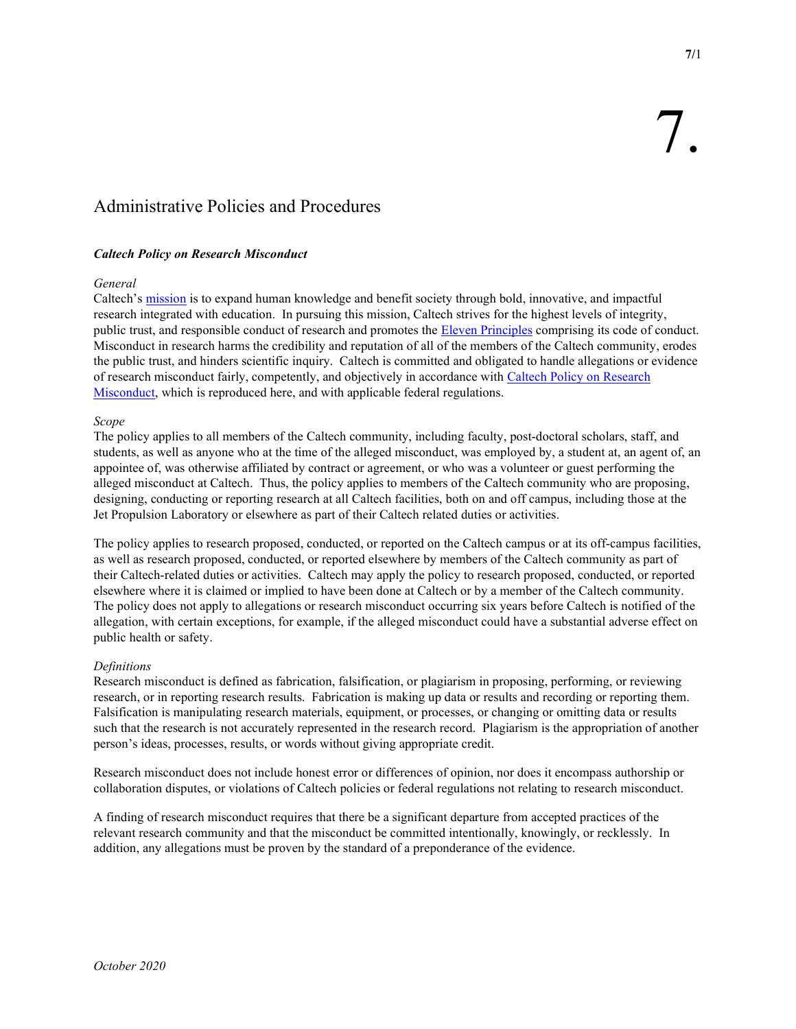# Administrative Policies and Procedures

# Caltech Policy on Research Misconduct

# General

Caltech's mission is to expand human knowledge and benefit society through bold, innovative, and impactful research integrated with education. In pursuing this mission, Caltech strives for the highest levels of integrity, public trust, and responsible conduct of research and promotes the Eleven Principles comprising its code of conduct. Misconduct in research harms the credibility and reputation of all of the members of the Caltech community, erodes the public trust, and hinders scientific inquiry. Caltech is committed and obligated to handle allegations or evidence of research misconduct fairly, competently, and objectively in accordance with Caltech Policy on Research Misconduct, which is reproduced here, and with applicable federal regulations.

# Scope

The policy applies to all members of the Caltech community, including faculty, post-doctoral scholars, staff, and students, as well as anyone who at the time of the alleged misconduct, was employed by, a student at, an agent of, an appointee of, was otherwise affiliated by contract or agreement, or who was a volunteer or guest performing the alleged misconduct at Caltech. Thus, the policy applies to members of the Caltech community who are proposing, designing, conducting or reporting research at all Caltech facilities, both on and off campus, including those at the Jet Propulsion Laboratory or elsewhere as part of their Caltech related duties or activities.

The policy applies to research proposed, conducted, or reported on the Caltech campus or at its off-campus facilities, as well as research proposed, conducted, or reported elsewhere by members of the Caltech community as part of their Caltech-related duties or activities. Caltech may apply the policy to research proposed, conducted, or reported elsewhere where it is claimed or implied to have been done at Caltech or by a member of the Caltech community. The policy does not apply to allegations or research misconduct occurring six years before Caltech is notified of the allegation, with certain exceptions, for example, if the alleged misconduct could have a substantial adverse effect on public health or safety.

# Definitions

Research misconduct is defined as fabrication, falsification, or plagiarism in proposing, performing, or reviewing research, or in reporting research results. Fabrication is making up data or results and recording or reporting them. Falsification is manipulating research materials, equipment, or processes, or changing or omitting data or results such that the research is not accurately represented in the research record. Plagiarism is the appropriation of another person's ideas, processes, results, or words without giving appropriate credit.

Research misconduct does not include honest error or differences of opinion, nor does it encompass authorship or collaboration disputes, or violations of Caltech policies or federal regulations not relating to research misconduct.

A finding of research misconduct requires that there be a significant departure from accepted practices of the relevant research community and that the misconduct be committed intentionally, knowingly, or recklessly. In addition, any allegations must be proven by the standard of a preponderance of the evidence.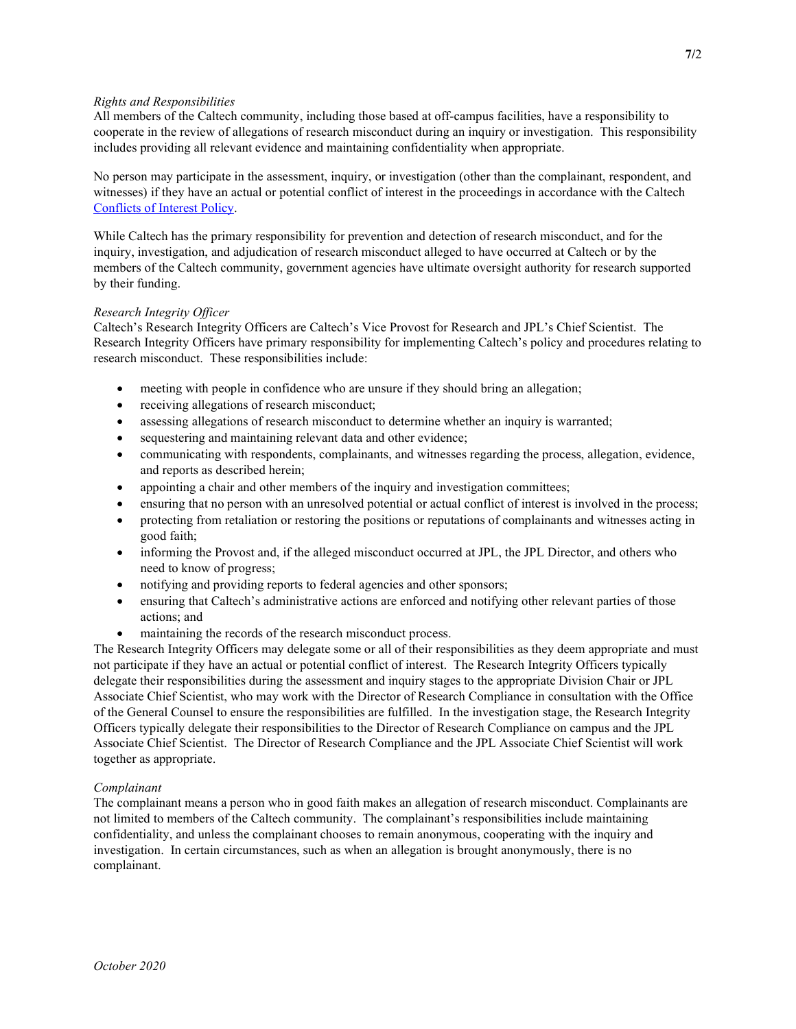# Rights and Responsibilities

All members of the Caltech community, including those based at off-campus facilities, have a responsibility to cooperate in the review of allegations of research misconduct during an inquiry or investigation. This responsibility includes providing all relevant evidence and maintaining confidentiality when appropriate.

No person may participate in the assessment, inquiry, or investigation (other than the complainant, respondent, and witnesses) if they have an actual or potential conflict of interest in the proceedings in accordance with the Caltech Conflicts of Interest Policy.

While Caltech has the primary responsibility for prevention and detection of research misconduct, and for the inquiry, investigation, and adjudication of research misconduct alleged to have occurred at Caltech or by the members of the Caltech community, government agencies have ultimate oversight authority for research supported by their funding.

# Research Integrity Officer

Caltech's Research Integrity Officers are Caltech's Vice Provost for Research and JPL's Chief Scientist. The Research Integrity Officers have primary responsibility for implementing Caltech's policy and procedures relating to research misconduct. These responsibilities include:

- meeting with people in confidence who are unsure if they should bring an allegation;
- receiving allegations of research misconduct;
- assessing allegations of research misconduct to determine whether an inquiry is warranted;
- sequestering and maintaining relevant data and other evidence;
- communicating with respondents, complainants, and witnesses regarding the process, allegation, evidence, and reports as described herein;
- appointing a chair and other members of the inquiry and investigation committees;
- ensuring that no person with an unresolved potential or actual conflict of interest is involved in the process;
- protecting from retaliation or restoring the positions or reputations of complainants and witnesses acting in good faith;
- informing the Provost and, if the alleged misconduct occurred at JPL, the JPL Director, and others who need to know of progress;
- notifying and providing reports to federal agencies and other sponsors;
- ensuring that Caltech's administrative actions are enforced and notifying other relevant parties of those actions; and
- maintaining the records of the research misconduct process.

The Research Integrity Officers may delegate some or all of their responsibilities as they deem appropriate and must not participate if they have an actual or potential conflict of interest. The Research Integrity Officers typically delegate their responsibilities during the assessment and inquiry stages to the appropriate Division Chair or JPL Associate Chief Scientist, who may work with the Director of Research Compliance in consultation with the Office of the General Counsel to ensure the responsibilities are fulfilled. In the investigation stage, the Research Integrity Officers typically delegate their responsibilities to the Director of Research Compliance on campus and the JPL Associate Chief Scientist. The Director of Research Compliance and the JPL Associate Chief Scientist will work together as appropriate.

# Complainant

The complainant means a person who in good faith makes an allegation of research misconduct. Complainants are not limited to members of the Caltech community. The complainant's responsibilities include maintaining confidentiality, and unless the complainant chooses to remain anonymous, cooperating with the inquiry and investigation. In certain circumstances, such as when an allegation is brought anonymously, there is no complainant.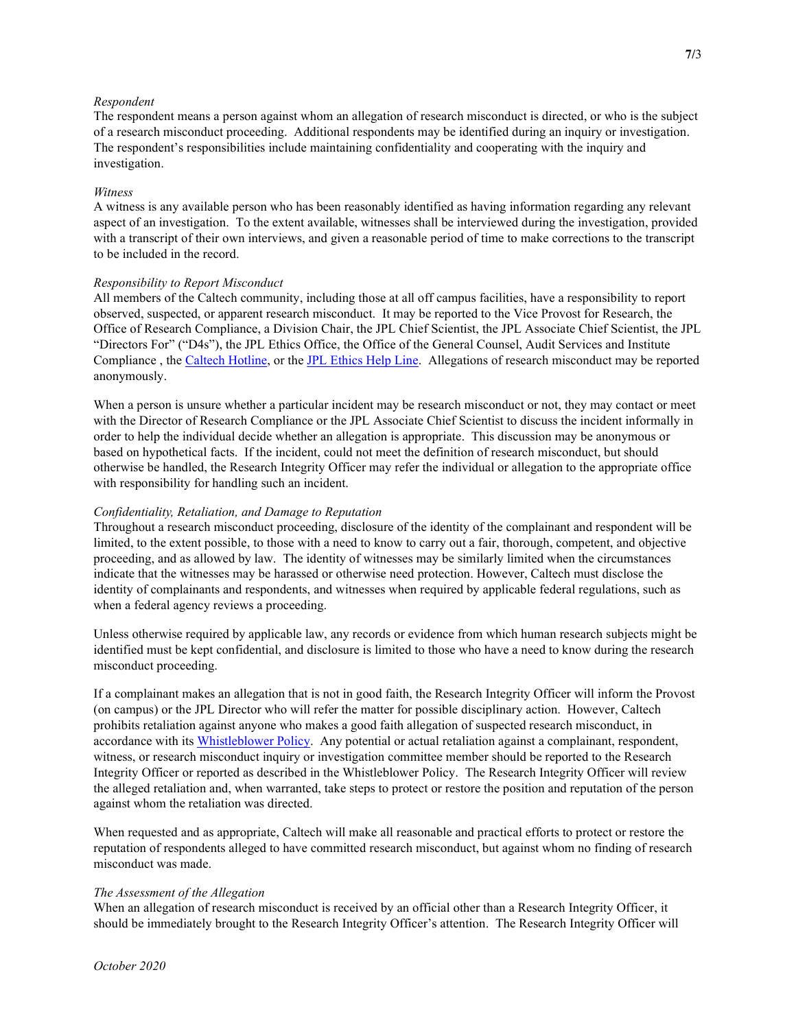# Respondent

The respondent means a person against whom an allegation of research misconduct is directed, or who is the subject of a research misconduct proceeding. Additional respondents may be identified during an inquiry or investigation. The respondent's responsibilities include maintaining confidentiality and cooperating with the inquiry and investigation.

# Witness

A witness is any available person who has been reasonably identified as having information regarding any relevant aspect of an investigation. To the extent available, witnesses shall be interviewed during the investigation, provided with a transcript of their own interviews, and given a reasonable period of time to make corrections to the transcript to be included in the record.

## Responsibility to Report Misconduct

All members of the Caltech community, including those at all off campus facilities, have a responsibility to report observed, suspected, or apparent research misconduct. It may be reported to the Vice Provost for Research, the Office of Research Compliance, a Division Chair, the JPL Chief Scientist, the JPL Associate Chief Scientist, the JPL "Directors For" ("D4s"), the JPL Ethics Office, the Office of the General Counsel, Audit Services and Institute Compliance , the Caltech Hotline, or the JPL Ethics Help Line. Allegations of research misconduct may be reported anonymously.

When a person is unsure whether a particular incident may be research misconduct or not, they may contact or meet with the Director of Research Compliance or the JPL Associate Chief Scientist to discuss the incident informally in order to help the individual decide whether an allegation is appropriate. This discussion may be anonymous or based on hypothetical facts. If the incident, could not meet the definition of research misconduct, but should otherwise be handled, the Research Integrity Officer may refer the individual or allegation to the appropriate office with responsibility for handling such an incident.

# Confidentiality, Retaliation, and Damage to Reputation

Throughout a research misconduct proceeding, disclosure of the identity of the complainant and respondent will be limited, to the extent possible, to those with a need to know to carry out a fair, thorough, competent, and objective proceeding, and as allowed by law. The identity of witnesses may be similarly limited when the circumstances indicate that the witnesses may be harassed or otherwise need protection. However, Caltech must disclose the identity of complainants and respondents, and witnesses when required by applicable federal regulations, such as when a federal agency reviews a proceeding.

Unless otherwise required by applicable law, any records or evidence from which human research subjects might be identified must be kept confidential, and disclosure is limited to those who have a need to know during the research misconduct proceeding.

If a complainant makes an allegation that is not in good faith, the Research Integrity Officer will inform the Provost (on campus) or the JPL Director who will refer the matter for possible disciplinary action. However, Caltech prohibits retaliation against anyone who makes a good faith allegation of suspected research misconduct, in accordance with its Whistleblower Policy. Any potential or actual retaliation against a complainant, respondent, witness, or research misconduct inquiry or investigation committee member should be reported to the Research Integrity Officer or reported as described in the Whistleblower Policy. The Research Integrity Officer will review the alleged retaliation and, when warranted, take steps to protect or restore the position and reputation of the person against whom the retaliation was directed.

When requested and as appropriate, Caltech will make all reasonable and practical efforts to protect or restore the reputation of respondents alleged to have committed research misconduct, but against whom no finding of research misconduct was made.

## The Assessment of the Allegation

When an allegation of research misconduct is received by an official other than a Research Integrity Officer, it should be immediately brought to the Research Integrity Officer's attention. The Research Integrity Officer will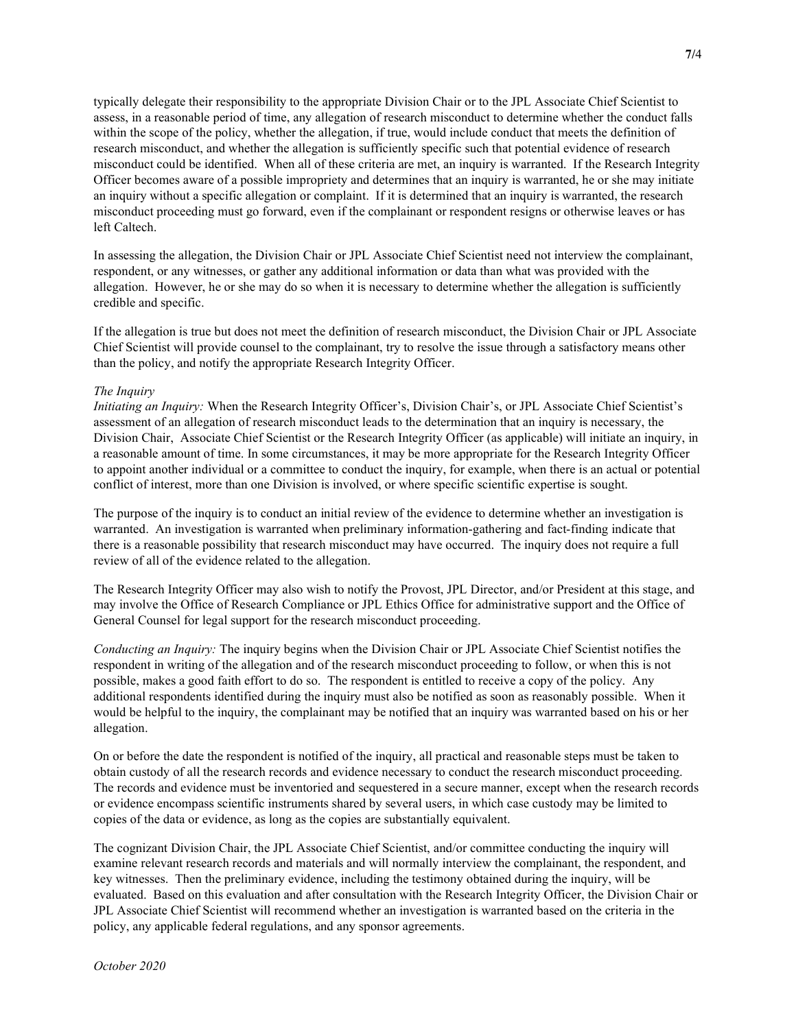typically delegate their responsibility to the appropriate Division Chair or to the JPL Associate Chief Scientist to assess, in a reasonable period of time, any allegation of research misconduct to determine whether the conduct falls within the scope of the policy, whether the allegation, if true, would include conduct that meets the definition of research misconduct, and whether the allegation is sufficiently specific such that potential evidence of research misconduct could be identified. When all of these criteria are met, an inquiry is warranted. If the Research Integrity Officer becomes aware of a possible impropriety and determines that an inquiry is warranted, he or she may initiate an inquiry without a specific allegation or complaint. If it is determined that an inquiry is warranted, the research misconduct proceeding must go forward, even if the complainant or respondent resigns or otherwise leaves or has left Caltech.

In assessing the allegation, the Division Chair or JPL Associate Chief Scientist need not interview the complainant, respondent, or any witnesses, or gather any additional information or data than what was provided with the allegation. However, he or she may do so when it is necessary to determine whether the allegation is sufficiently credible and specific.

If the allegation is true but does not meet the definition of research misconduct, the Division Chair or JPL Associate Chief Scientist will provide counsel to the complainant, try to resolve the issue through a satisfactory means other than the policy, and notify the appropriate Research Integrity Officer.

#### The Inquiry

Initiating an Inquiry: When the Research Integrity Officer's, Division Chair's, or JPL Associate Chief Scientist's assessment of an allegation of research misconduct leads to the determination that an inquiry is necessary, the Division Chair, Associate Chief Scientist or the Research Integrity Officer (as applicable) will initiate an inquiry, in a reasonable amount of time. In some circumstances, it may be more appropriate for the Research Integrity Officer to appoint another individual or a committee to conduct the inquiry, for example, when there is an actual or potential conflict of interest, more than one Division is involved, or where specific scientific expertise is sought.

The purpose of the inquiry is to conduct an initial review of the evidence to determine whether an investigation is warranted. An investigation is warranted when preliminary information-gathering and fact-finding indicate that there is a reasonable possibility that research misconduct may have occurred. The inquiry does not require a full review of all of the evidence related to the allegation.

The Research Integrity Officer may also wish to notify the Provost, JPL Director, and/or President at this stage, and may involve the Office of Research Compliance or JPL Ethics Office for administrative support and the Office of General Counsel for legal support for the research misconduct proceeding.

Conducting an Inquiry: The inquiry begins when the Division Chair or JPL Associate Chief Scientist notifies the respondent in writing of the allegation and of the research misconduct proceeding to follow, or when this is not possible, makes a good faith effort to do so. The respondent is entitled to receive a copy of the policy. Any additional respondents identified during the inquiry must also be notified as soon as reasonably possible. When it would be helpful to the inquiry, the complainant may be notified that an inquiry was warranted based on his or her allegation.

On or before the date the respondent is notified of the inquiry, all practical and reasonable steps must be taken to obtain custody of all the research records and evidence necessary to conduct the research misconduct proceeding. The records and evidence must be inventoried and sequestered in a secure manner, except when the research records or evidence encompass scientific instruments shared by several users, in which case custody may be limited to copies of the data or evidence, as long as the copies are substantially equivalent.

The cognizant Division Chair, the JPL Associate Chief Scientist, and/or committee conducting the inquiry will examine relevant research records and materials and will normally interview the complainant, the respondent, and key witnesses. Then the preliminary evidence, including the testimony obtained during the inquiry, will be evaluated. Based on this evaluation and after consultation with the Research Integrity Officer, the Division Chair or JPL Associate Chief Scientist will recommend whether an investigation is warranted based on the criteria in the policy, any applicable federal regulations, and any sponsor agreements.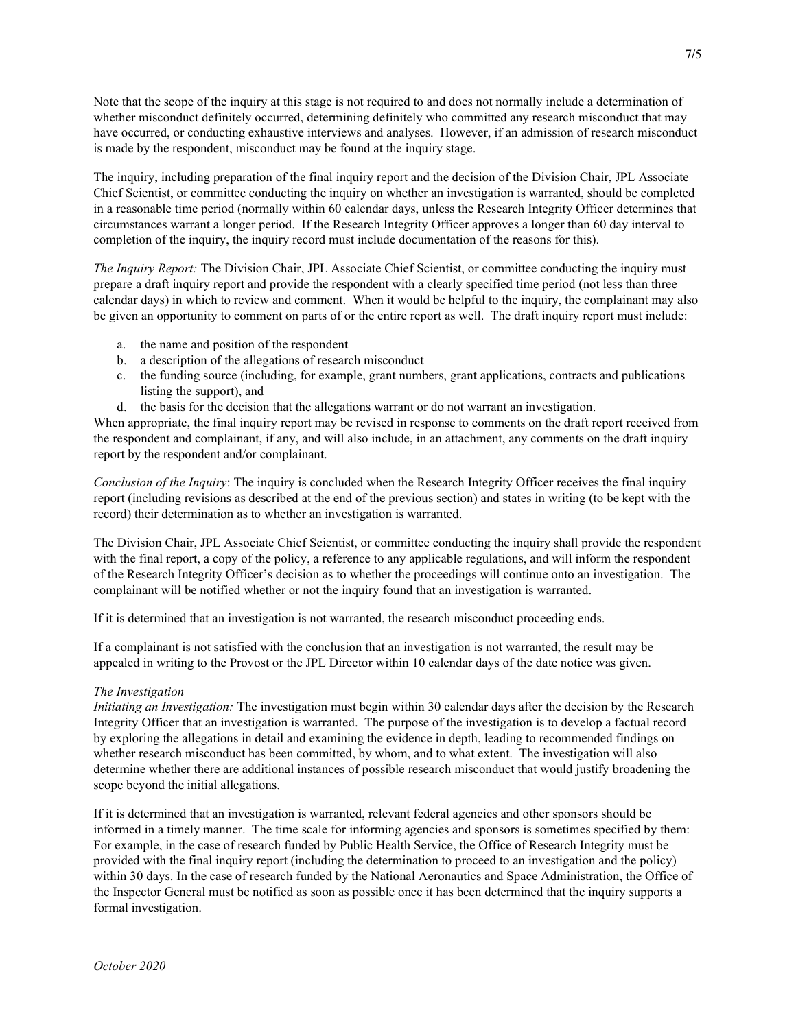Note that the scope of the inquiry at this stage is not required to and does not normally include a determination of whether misconduct definitely occurred, determining definitely who committed any research misconduct that may have occurred, or conducting exhaustive interviews and analyses. However, if an admission of research misconduct is made by the respondent, misconduct may be found at the inquiry stage.

The inquiry, including preparation of the final inquiry report and the decision of the Division Chair, JPL Associate Chief Scientist, or committee conducting the inquiry on whether an investigation is warranted, should be completed in a reasonable time period (normally within 60 calendar days, unless the Research Integrity Officer determines that circumstances warrant a longer period. If the Research Integrity Officer approves a longer than 60 day interval to completion of the inquiry, the inquiry record must include documentation of the reasons for this).

The Inquiry Report: The Division Chair, JPL Associate Chief Scientist, or committee conducting the inquiry must prepare a draft inquiry report and provide the respondent with a clearly specified time period (not less than three calendar days) in which to review and comment. When it would be helpful to the inquiry, the complainant may also be given an opportunity to comment on parts of or the entire report as well. The draft inquiry report must include:

- a. the name and position of the respondent
- b. a description of the allegations of research misconduct
- c. the funding source (including, for example, grant numbers, grant applications, contracts and publications listing the support), and
- d. the basis for the decision that the allegations warrant or do not warrant an investigation.

When appropriate, the final inquiry report may be revised in response to comments on the draft report received from the respondent and complainant, if any, and will also include, in an attachment, any comments on the draft inquiry report by the respondent and/or complainant.

Conclusion of the Inquiry: The inquiry is concluded when the Research Integrity Officer receives the final inquiry report (including revisions as described at the end of the previous section) and states in writing (to be kept with the record) their determination as to whether an investigation is warranted.

The Division Chair, JPL Associate Chief Scientist, or committee conducting the inquiry shall provide the respondent with the final report, a copy of the policy, a reference to any applicable regulations, and will inform the respondent of the Research Integrity Officer's decision as to whether the proceedings will continue onto an investigation. The complainant will be notified whether or not the inquiry found that an investigation is warranted.

If it is determined that an investigation is not warranted, the research misconduct proceeding ends.

If a complainant is not satisfied with the conclusion that an investigation is not warranted, the result may be appealed in writing to the Provost or the JPL Director within 10 calendar days of the date notice was given.

# The Investigation

Initiating an Investigation: The investigation must begin within 30 calendar days after the decision by the Research Integrity Officer that an investigation is warranted. The purpose of the investigation is to develop a factual record by exploring the allegations in detail and examining the evidence in depth, leading to recommended findings on whether research misconduct has been committed, by whom, and to what extent. The investigation will also determine whether there are additional instances of possible research misconduct that would justify broadening the scope beyond the initial allegations.

If it is determined that an investigation is warranted, relevant federal agencies and other sponsors should be informed in a timely manner. The time scale for informing agencies and sponsors is sometimes specified by them: For example, in the case of research funded by Public Health Service, the Office of Research Integrity must be provided with the final inquiry report (including the determination to proceed to an investigation and the policy) within 30 days. In the case of research funded by the National Aeronautics and Space Administration, the Office of the Inspector General must be notified as soon as possible once it has been determined that the inquiry supports a formal investigation.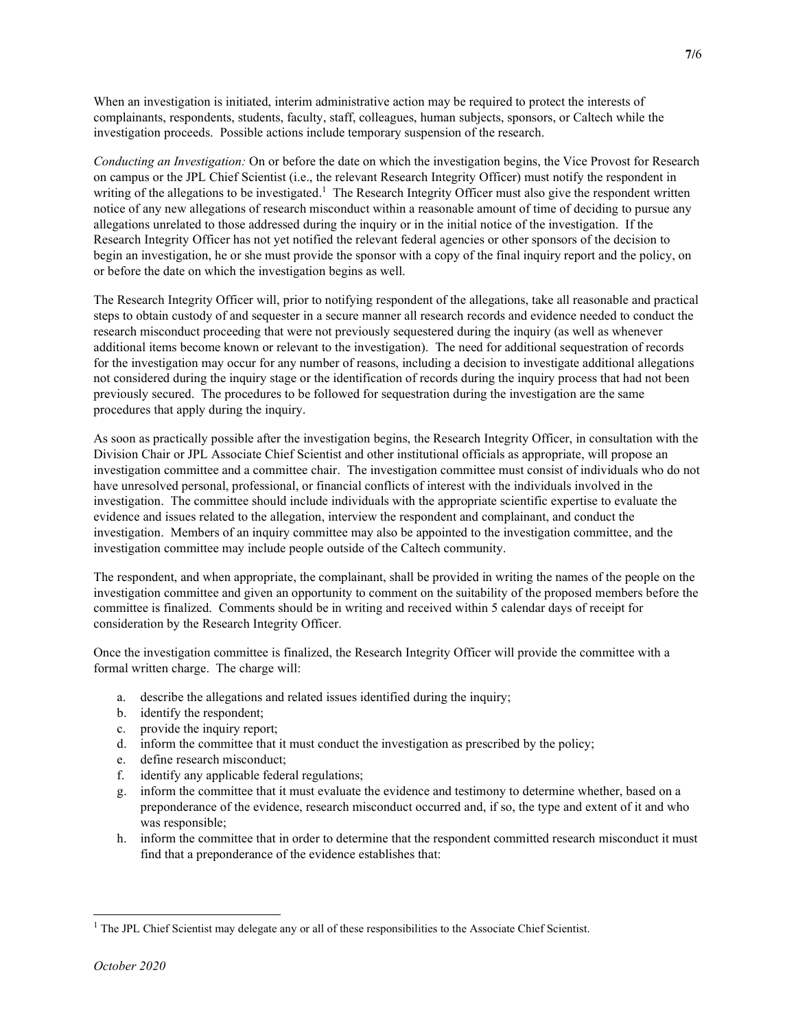When an investigation is initiated, interim administrative action may be required to protect the interests of complainants, respondents, students, faculty, staff, colleagues, human subjects, sponsors, or Caltech while the investigation proceeds. Possible actions include temporary suspension of the research.

Conducting an Investigation: On or before the date on which the investigation begins, the Vice Provost for Research on campus or the JPL Chief Scientist (i.e., the relevant Research Integrity Officer) must notify the respondent in writing of the allegations to be investigated.<sup>1</sup> The Research Integrity Officer must also give the respondent written notice of any new allegations of research misconduct within a reasonable amount of time of deciding to pursue any allegations unrelated to those addressed during the inquiry or in the initial notice of the investigation. If the Research Integrity Officer has not yet notified the relevant federal agencies or other sponsors of the decision to begin an investigation, he or she must provide the sponsor with a copy of the final inquiry report and the policy, on or before the date on which the investigation begins as well.

The Research Integrity Officer will, prior to notifying respondent of the allegations, take all reasonable and practical steps to obtain custody of and sequester in a secure manner all research records and evidence needed to conduct the research misconduct proceeding that were not previously sequestered during the inquiry (as well as whenever additional items become known or relevant to the investigation). The need for additional sequestration of records for the investigation may occur for any number of reasons, including a decision to investigate additional allegations not considered during the inquiry stage or the identification of records during the inquiry process that had not been previously secured. The procedures to be followed for sequestration during the investigation are the same procedures that apply during the inquiry.

As soon as practically possible after the investigation begins, the Research Integrity Officer, in consultation with the Division Chair or JPL Associate Chief Scientist and other institutional officials as appropriate, will propose an investigation committee and a committee chair. The investigation committee must consist of individuals who do not have unresolved personal, professional, or financial conflicts of interest with the individuals involved in the investigation. The committee should include individuals with the appropriate scientific expertise to evaluate the evidence and issues related to the allegation, interview the respondent and complainant, and conduct the investigation. Members of an inquiry committee may also be appointed to the investigation committee, and the investigation committee may include people outside of the Caltech community.

The respondent, and when appropriate, the complainant, shall be provided in writing the names of the people on the investigation committee and given an opportunity to comment on the suitability of the proposed members before the committee is finalized. Comments should be in writing and received within 5 calendar days of receipt for consideration by the Research Integrity Officer.

Once the investigation committee is finalized, the Research Integrity Officer will provide the committee with a formal written charge. The charge will:

- a. describe the allegations and related issues identified during the inquiry;
- b. identify the respondent;
- c. provide the inquiry report;
- d. inform the committee that it must conduct the investigation as prescribed by the policy;
- e. define research misconduct;
- f. identify any applicable federal regulations;
- g. inform the committee that it must evaluate the evidence and testimony to determine whether, based on a preponderance of the evidence, research misconduct occurred and, if so, the type and extent of it and who was responsible;
- h. inform the committee that in order to determine that the respondent committed research misconduct it must find that a preponderance of the evidence establishes that:

<sup>&</sup>lt;sup>1</sup> The JPL Chief Scientist may delegate any or all of these responsibilities to the Associate Chief Scientist.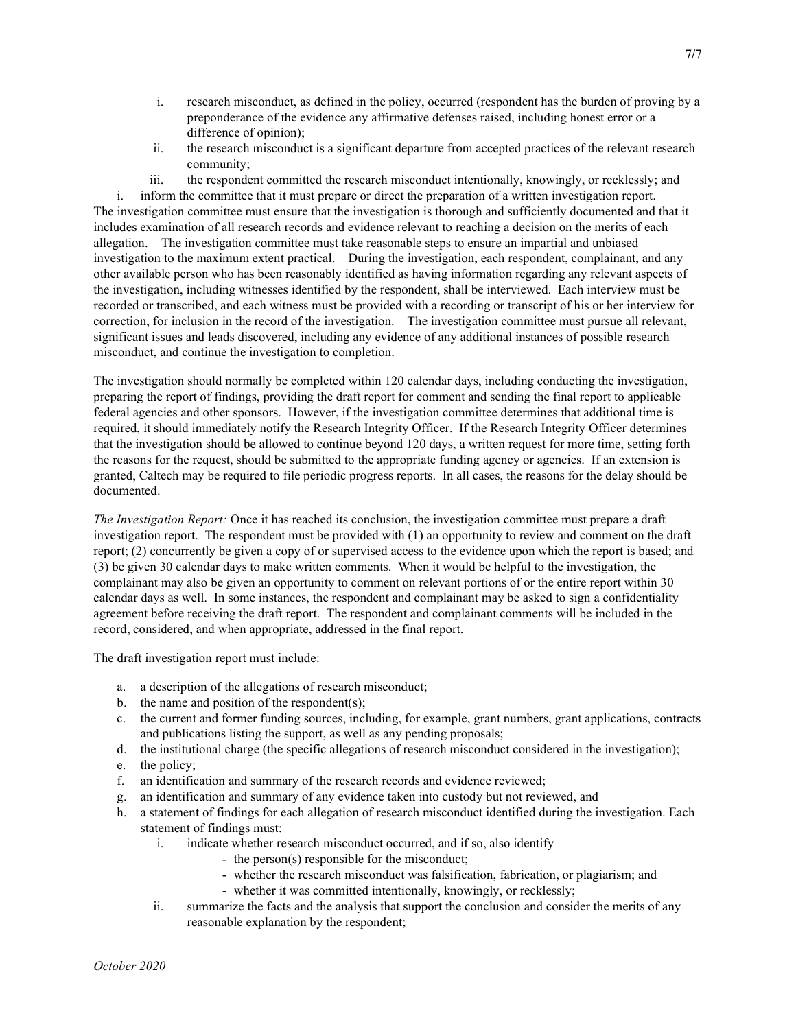- i. research misconduct, as defined in the policy, occurred (respondent has the burden of proving by a preponderance of the evidence any affirmative defenses raised, including honest error or a difference of opinion);
- ii. the research misconduct is a significant departure from accepted practices of the relevant research community;
- iii. the respondent committed the research misconduct intentionally, knowingly, or recklessly; and

i. inform the committee that it must prepare or direct the preparation of a written investigation report. The investigation committee must ensure that the investigation is thorough and sufficiently documented and that it includes examination of all research records and evidence relevant to reaching a decision on the merits of each allegation. The investigation committee must take reasonable steps to ensure an impartial and unbiased investigation to the maximum extent practical. During the investigation, each respondent, complainant, and any other available person who has been reasonably identified as having information regarding any relevant aspects of the investigation, including witnesses identified by the respondent, shall be interviewed. Each interview must be recorded or transcribed, and each witness must be provided with a recording or transcript of his or her interview for correction, for inclusion in the record of the investigation. The investigation committee must pursue all relevant, significant issues and leads discovered, including any evidence of any additional instances of possible research misconduct, and continue the investigation to completion.

The investigation should normally be completed within 120 calendar days, including conducting the investigation, preparing the report of findings, providing the draft report for comment and sending the final report to applicable federal agencies and other sponsors. However, if the investigation committee determines that additional time is required, it should immediately notify the Research Integrity Officer. If the Research Integrity Officer determines that the investigation should be allowed to continue beyond 120 days, a written request for more time, setting forth the reasons for the request, should be submitted to the appropriate funding agency or agencies. If an extension is granted, Caltech may be required to file periodic progress reports. In all cases, the reasons for the delay should be documented.

The Investigation Report: Once it has reached its conclusion, the investigation committee must prepare a draft investigation report. The respondent must be provided with (1) an opportunity to review and comment on the draft report; (2) concurrently be given a copy of or supervised access to the evidence upon which the report is based; and (3) be given 30 calendar days to make written comments. When it would be helpful to the investigation, the complainant may also be given an opportunity to comment on relevant portions of or the entire report within 30 calendar days as well. In some instances, the respondent and complainant may be asked to sign a confidentiality agreement before receiving the draft report. The respondent and complainant comments will be included in the record, considered, and when appropriate, addressed in the final report.

The draft investigation report must include:

- a. a description of the allegations of research misconduct;
- b. the name and position of the respondent(s);
- c. the current and former funding sources, including, for example, grant numbers, grant applications, contracts and publications listing the support, as well as any pending proposals;
- d. the institutional charge (the specific allegations of research misconduct considered in the investigation);
- e. the policy;
- f. an identification and summary of the research records and evidence reviewed;
- g. an identification and summary of any evidence taken into custody but not reviewed, and
- h. a statement of findings for each allegation of research misconduct identified during the investigation. Each statement of findings must:
	- i. indicate whether research misconduct occurred, and if so, also identify
		- the person(s) responsible for the misconduct;
		- whether the research misconduct was falsification, fabrication, or plagiarism; and
		- whether it was committed intentionally, knowingly, or recklessly;
	- ii. summarize the facts and the analysis that support the conclusion and consider the merits of any reasonable explanation by the respondent;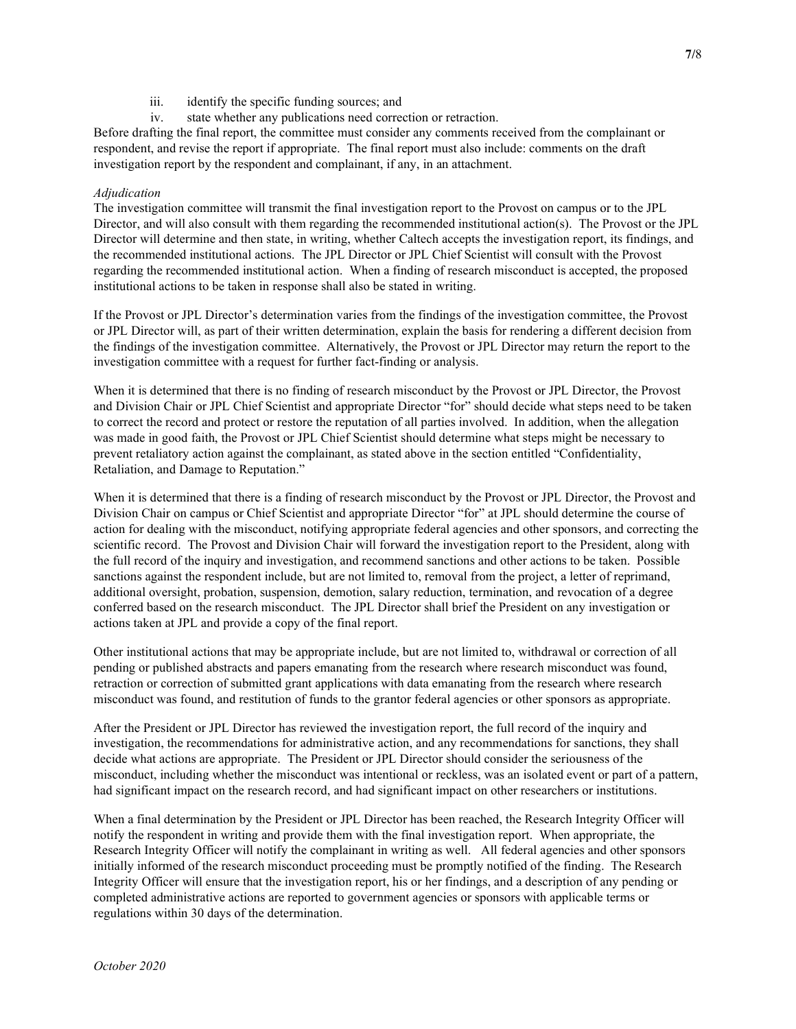- iii. identify the specific funding sources; and
- iv. state whether any publications need correction or retraction.

Before drafting the final report, the committee must consider any comments received from the complainant or respondent, and revise the report if appropriate. The final report must also include: comments on the draft investigation report by the respondent and complainant, if any, in an attachment.

# Adjudication

The investigation committee will transmit the final investigation report to the Provost on campus or to the JPL Director, and will also consult with them regarding the recommended institutional action(s). The Provost or the JPL Director will determine and then state, in writing, whether Caltech accepts the investigation report, its findings, and the recommended institutional actions. The JPL Director or JPL Chief Scientist will consult with the Provost regarding the recommended institutional action. When a finding of research misconduct is accepted, the proposed institutional actions to be taken in response shall also be stated in writing.

If the Provost or JPL Director's determination varies from the findings of the investigation committee, the Provost or JPL Director will, as part of their written determination, explain the basis for rendering a different decision from the findings of the investigation committee. Alternatively, the Provost or JPL Director may return the report to the investigation committee with a request for further fact-finding or analysis.

When it is determined that there is no finding of research misconduct by the Provost or JPL Director, the Provost and Division Chair or JPL Chief Scientist and appropriate Director "for" should decide what steps need to be taken to correct the record and protect or restore the reputation of all parties involved. In addition, when the allegation was made in good faith, the Provost or JPL Chief Scientist should determine what steps might be necessary to prevent retaliatory action against the complainant, as stated above in the section entitled "Confidentiality, Retaliation, and Damage to Reputation."

When it is determined that there is a finding of research misconduct by the Provost or JPL Director, the Provost and Division Chair on campus or Chief Scientist and appropriate Director "for" at JPL should determine the course of action for dealing with the misconduct, notifying appropriate federal agencies and other sponsors, and correcting the scientific record. The Provost and Division Chair will forward the investigation report to the President, along with the full record of the inquiry and investigation, and recommend sanctions and other actions to be taken. Possible sanctions against the respondent include, but are not limited to, removal from the project, a letter of reprimand, additional oversight, probation, suspension, demotion, salary reduction, termination, and revocation of a degree conferred based on the research misconduct. The JPL Director shall brief the President on any investigation or actions taken at JPL and provide a copy of the final report.

Other institutional actions that may be appropriate include, but are not limited to, withdrawal or correction of all pending or published abstracts and papers emanating from the research where research misconduct was found, retraction or correction of submitted grant applications with data emanating from the research where research misconduct was found, and restitution of funds to the grantor federal agencies or other sponsors as appropriate.

After the President or JPL Director has reviewed the investigation report, the full record of the inquiry and investigation, the recommendations for administrative action, and any recommendations for sanctions, they shall decide what actions are appropriate. The President or JPL Director should consider the seriousness of the misconduct, including whether the misconduct was intentional or reckless, was an isolated event or part of a pattern, had significant impact on the research record, and had significant impact on other researchers or institutions.

When a final determination by the President or JPL Director has been reached, the Research Integrity Officer will notify the respondent in writing and provide them with the final investigation report. When appropriate, the Research Integrity Officer will notify the complainant in writing as well. All federal agencies and other sponsors initially informed of the research misconduct proceeding must be promptly notified of the finding. The Research Integrity Officer will ensure that the investigation report, his or her findings, and a description of any pending or completed administrative actions are reported to government agencies or sponsors with applicable terms or regulations within 30 days of the determination.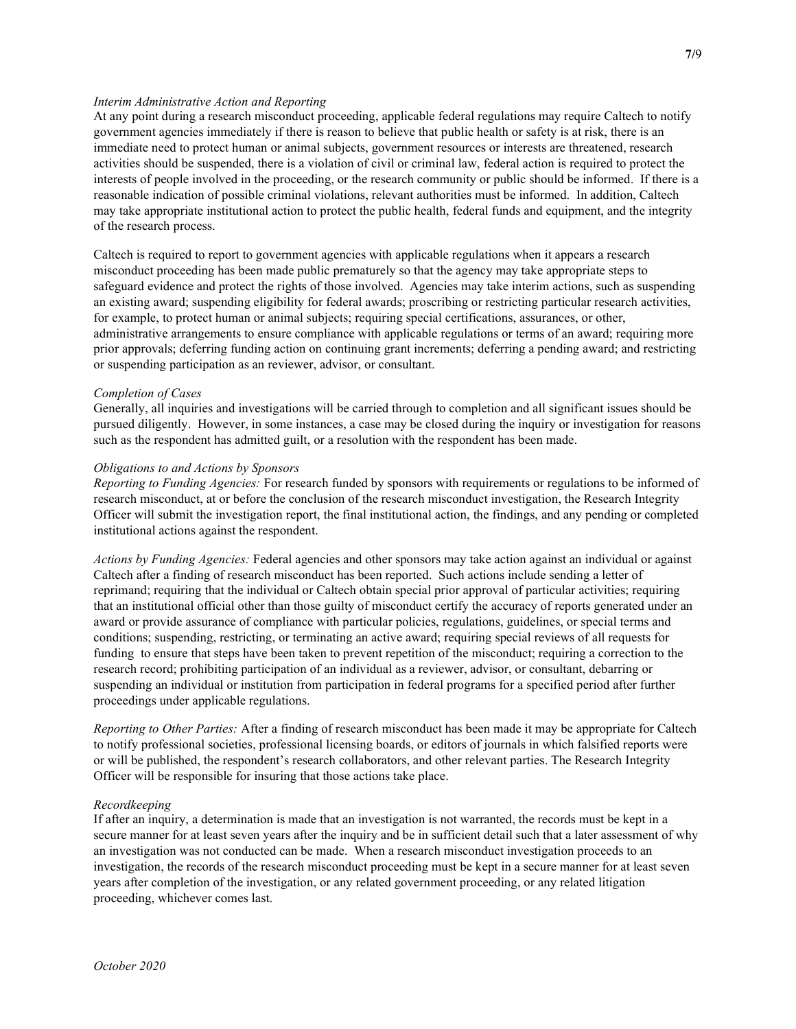## Interim Administrative Action and Reporting

At any point during a research misconduct proceeding, applicable federal regulations may require Caltech to notify government agencies immediately if there is reason to believe that public health or safety is at risk, there is an immediate need to protect human or animal subjects, government resources or interests are threatened, research activities should be suspended, there is a violation of civil or criminal law, federal action is required to protect the interests of people involved in the proceeding, or the research community or public should be informed. If there is a reasonable indication of possible criminal violations, relevant authorities must be informed. In addition, Caltech may take appropriate institutional action to protect the public health, federal funds and equipment, and the integrity of the research process.

Caltech is required to report to government agencies with applicable regulations when it appears a research misconduct proceeding has been made public prematurely so that the agency may take appropriate steps to safeguard evidence and protect the rights of those involved. Agencies may take interim actions, such as suspending an existing award; suspending eligibility for federal awards; proscribing or restricting particular research activities, for example, to protect human or animal subjects; requiring special certifications, assurances, or other, administrative arrangements to ensure compliance with applicable regulations or terms of an award; requiring more prior approvals; deferring funding action on continuing grant increments; deferring a pending award; and restricting or suspending participation as an reviewer, advisor, or consultant.

#### Completion of Cases

Generally, all inquiries and investigations will be carried through to completion and all significant issues should be pursued diligently. However, in some instances, a case may be closed during the inquiry or investigation for reasons such as the respondent has admitted guilt, or a resolution with the respondent has been made.

#### Obligations to and Actions by Sponsors

Reporting to Funding Agencies: For research funded by sponsors with requirements or regulations to be informed of research misconduct, at or before the conclusion of the research misconduct investigation, the Research Integrity Officer will submit the investigation report, the final institutional action, the findings, and any pending or completed institutional actions against the respondent.

Actions by Funding Agencies: Federal agencies and other sponsors may take action against an individual or against Caltech after a finding of research misconduct has been reported. Such actions include sending a letter of reprimand; requiring that the individual or Caltech obtain special prior approval of particular activities; requiring that an institutional official other than those guilty of misconduct certify the accuracy of reports generated under an award or provide assurance of compliance with particular policies, regulations, guidelines, or special terms and conditions; suspending, restricting, or terminating an active award; requiring special reviews of all requests for funding to ensure that steps have been taken to prevent repetition of the misconduct; requiring a correction to the research record; prohibiting participation of an individual as a reviewer, advisor, or consultant, debarring or suspending an individual or institution from participation in federal programs for a specified period after further proceedings under applicable regulations.

Reporting to Other Parties: After a finding of research misconduct has been made it may be appropriate for Caltech to notify professional societies, professional licensing boards, or editors of journals in which falsified reports were or will be published, the respondent's research collaborators, and other relevant parties. The Research Integrity Officer will be responsible for insuring that those actions take place.

#### Recordkeeping

If after an inquiry, a determination is made that an investigation is not warranted, the records must be kept in a secure manner for at least seven years after the inquiry and be in sufficient detail such that a later assessment of why an investigation was not conducted can be made. When a research misconduct investigation proceeds to an investigation, the records of the research misconduct proceeding must be kept in a secure manner for at least seven years after completion of the investigation, or any related government proceeding, or any related litigation proceeding, whichever comes last.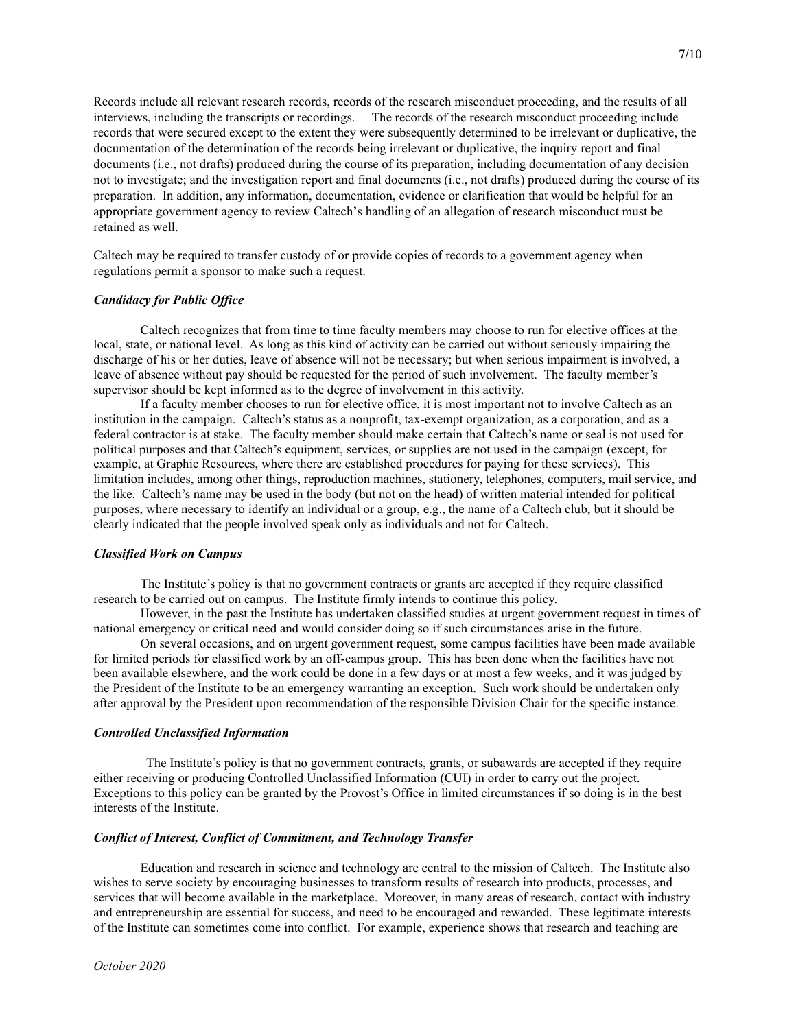Records include all relevant research records, records of the research misconduct proceeding, and the results of all interviews, including the transcripts or recordings. The records of the research misconduct proceeding include records that were secured except to the extent they were subsequently determined to be irrelevant or duplicative, the documentation of the determination of the records being irrelevant or duplicative, the inquiry report and final documents (i.e., not drafts) produced during the course of its preparation, including documentation of any decision not to investigate; and the investigation report and final documents (i.e., not drafts) produced during the course of its preparation. In addition, any information, documentation, evidence or clarification that would be helpful for an appropriate government agency to review Caltech's handling of an allegation of research misconduct must be retained as well.

Caltech may be required to transfer custody of or provide copies of records to a government agency when regulations permit a sponsor to make such a request.

# Candidacy for Public Office

 Caltech recognizes that from time to time faculty members may choose to run for elective offices at the local, state, or national level. As long as this kind of activity can be carried out without seriously impairing the discharge of his or her duties, leave of absence will not be necessary; but when serious impairment is involved, a leave of absence without pay should be requested for the period of such involvement. The faculty member's supervisor should be kept informed as to the degree of involvement in this activity.

 If a faculty member chooses to run for elective office, it is most important not to involve Caltech as an institution in the campaign. Caltech's status as a nonprofit, tax-exempt organization, as a corporation, and as a federal contractor is at stake. The faculty member should make certain that Caltech's name or seal is not used for political purposes and that Caltech's equipment, services, or supplies are not used in the campaign (except, for example, at Graphic Resources, where there are established procedures for paying for these services). This limitation includes, among other things, reproduction machines, stationery, telephones, computers, mail service, and the like. Caltech's name may be used in the body (but not on the head) of written material intended for political purposes, where necessary to identify an individual or a group, e.g., the name of a Caltech club, but it should be clearly indicated that the people involved speak only as individuals and not for Caltech.

#### Classified Work on Campus

 The Institute's policy is that no government contracts or grants are accepted if they require classified research to be carried out on campus. The Institute firmly intends to continue this policy.

 However, in the past the Institute has undertaken classified studies at urgent government request in times of national emergency or critical need and would consider doing so if such circumstances arise in the future.

 On several occasions, and on urgent government request, some campus facilities have been made available for limited periods for classified work by an off-campus group. This has been done when the facilities have not been available elsewhere, and the work could be done in a few days or at most a few weeks, and it was judged by the President of the Institute to be an emergency warranting an exception. Such work should be undertaken only after approval by the President upon recommendation of the responsible Division Chair for the specific instance.

#### Controlled Unclassified Information

The Institute's policy is that no government contracts, grants, or subawards are accepted if they require either receiving or producing Controlled Unclassified Information (CUI) in order to carry out the project. Exceptions to this policy can be granted by the Provost's Office in limited circumstances if so doing is in the best interests of the Institute.

# Conflict of Interest, Conflict of Commitment, and Technology Transfer

 Education and research in science and technology are central to the mission of Caltech. The Institute also wishes to serve society by encouraging businesses to transform results of research into products, processes, and services that will become available in the marketplace. Moreover, in many areas of research, contact with industry and entrepreneurship are essential for success, and need to be encouraged and rewarded. These legitimate interests of the Institute can sometimes come into conflict. For example, experience shows that research and teaching are

7/10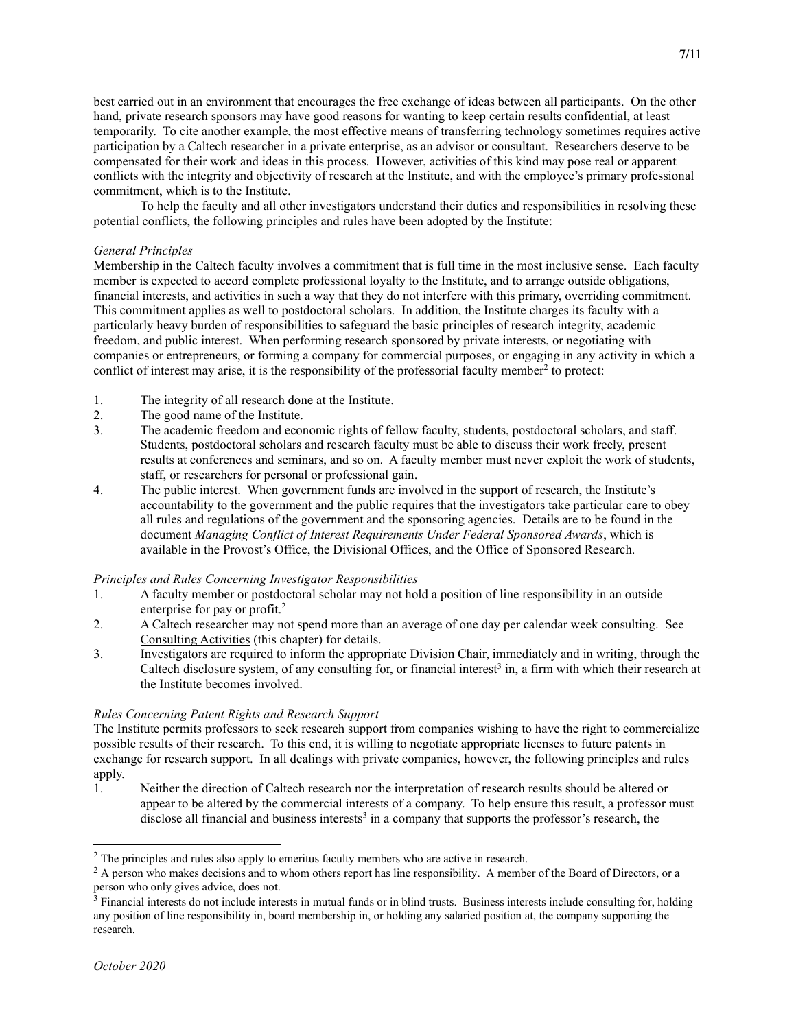best carried out in an environment that encourages the free exchange of ideas between all participants. On the other hand, private research sponsors may have good reasons for wanting to keep certain results confidential, at least temporarily. To cite another example, the most effective means of transferring technology sometimes requires active participation by a Caltech researcher in a private enterprise, as an advisor or consultant. Researchers deserve to be compensated for their work and ideas in this process. However, activities of this kind may pose real or apparent conflicts with the integrity and objectivity of research at the Institute, and with the employee's primary professional commitment, which is to the Institute.

 To help the faculty and all other investigators understand their duties and responsibilities in resolving these potential conflicts, the following principles and rules have been adopted by the Institute:

# General Principles

Membership in the Caltech faculty involves a commitment that is full time in the most inclusive sense. Each faculty member is expected to accord complete professional loyalty to the Institute, and to arrange outside obligations, financial interests, and activities in such a way that they do not interfere with this primary, overriding commitment. This commitment applies as well to postdoctoral scholars. In addition, the Institute charges its faculty with a particularly heavy burden of responsibilities to safeguard the basic principles of research integrity, academic freedom, and public interest. When performing research sponsored by private interests, or negotiating with companies or entrepreneurs, or forming a company for commercial purposes, or engaging in any activity in which a conflict of interest may arise, it is the responsibility of the professorial faculty member<sup>2</sup> to protect:

- 1. The integrity of all research done at the Institute.
- 2. The good name of the Institute.
- 3. The academic freedom and economic rights of fellow faculty, students, postdoctoral scholars, and staff. Students, postdoctoral scholars and research faculty must be able to discuss their work freely, present results at conferences and seminars, and so on. A faculty member must never exploit the work of students, staff, or researchers for personal or professional gain.
- 4. The public interest. When government funds are involved in the support of research, the Institute's accountability to the government and the public requires that the investigators take particular care to obey all rules and regulations of the government and the sponsoring agencies. Details are to be found in the document Managing Conflict of Interest Requirements Under Federal Sponsored Awards, which is available in the Provost's Office, the Divisional Offices, and the Office of Sponsored Research.

# Principles and Rules Concerning Investigator Responsibilities

- 1. A faculty member or postdoctoral scholar may not hold a position of line responsibility in an outside enterprise for pay or profit.<sup>2</sup>
- 2. A Caltech researcher may not spend more than an average of one day per calendar week consulting. See Consulting Activities (this chapter) for details.
- 3. Investigators are required to inform the appropriate Division Chair, immediately and in writing, through the Caltech disclosure system, of any consulting for, or financial interest<sup>3</sup> in, a firm with which their research at the Institute becomes involved.

# Rules Concerning Patent Rights and Research Support

The Institute permits professors to seek research support from companies wishing to have the right to commercialize possible results of their research. To this end, it is willing to negotiate appropriate licenses to future patents in exchange for research support. In all dealings with private companies, however, the following principles and rules apply.

1. Neither the direction of Caltech research nor the interpretation of research results should be altered or appear to be altered by the commercial interests of a company. To help ensure this result, a professor must disclose all financial and business interests<sup>3</sup> in a company that supports the professor's research, the

 $2$  The principles and rules also apply to emeritus faculty members who are active in research.

 $2^2$  A person who makes decisions and to whom others report has line responsibility. A member of the Board of Directors, or a person who only gives advice, does not.

<sup>&</sup>lt;sup>3</sup> Financial interests do not include interests in mutual funds or in blind trusts. Business interests include consulting for, holding any position of line responsibility in, board membership in, or holding any salaried position at, the company supporting the research.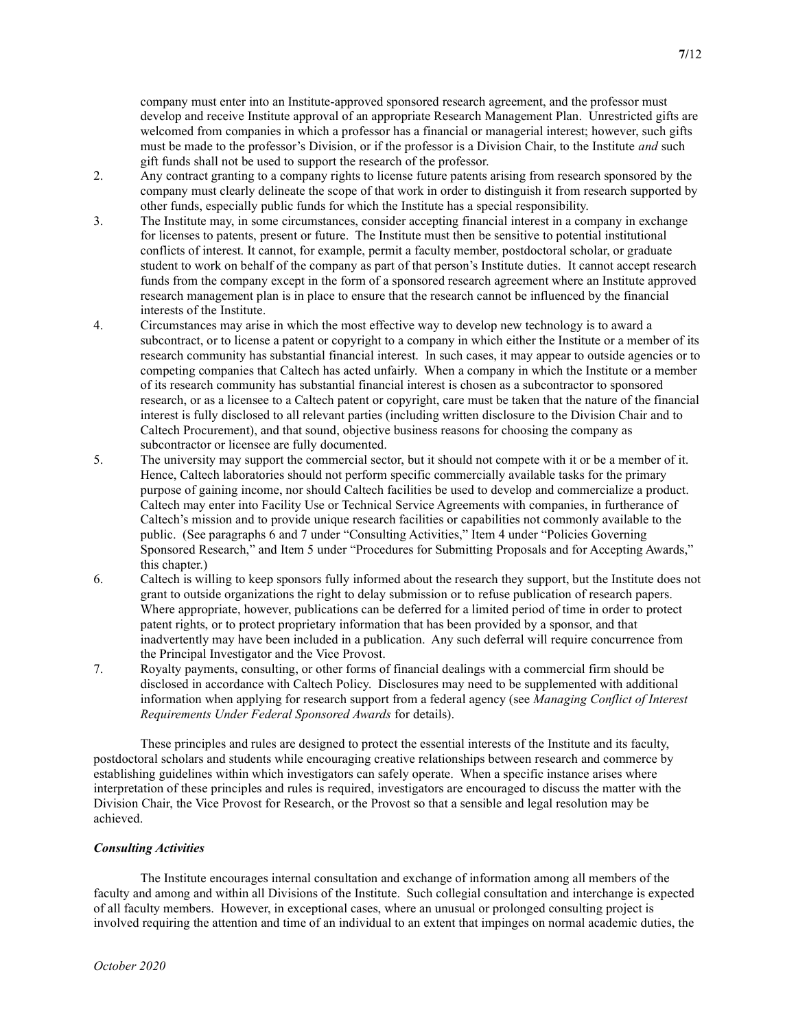company must enter into an Institute-approved sponsored research agreement, and the professor must develop and receive Institute approval of an appropriate Research Management Plan. Unrestricted gifts are welcomed from companies in which a professor has a financial or managerial interest; however, such gifts must be made to the professor's Division, or if the professor is a Division Chair, to the Institute *and* such gift funds shall not be used to support the research of the professor.

- 2. Any contract granting to a company rights to license future patents arising from research sponsored by the company must clearly delineate the scope of that work in order to distinguish it from research supported by other funds, especially public funds for which the Institute has a special responsibility.
- 3. The Institute may, in some circumstances, consider accepting financial interest in a company in exchange for licenses to patents, present or future. The Institute must then be sensitive to potential institutional conflicts of interest. It cannot, for example, permit a faculty member, postdoctoral scholar, or graduate student to work on behalf of the company as part of that person's Institute duties. It cannot accept research funds from the company except in the form of a sponsored research agreement where an Institute approved research management plan is in place to ensure that the research cannot be influenced by the financial interests of the Institute.
- 4. Circumstances may arise in which the most effective way to develop new technology is to award a subcontract, or to license a patent or copyright to a company in which either the Institute or a member of its research community has substantial financial interest. In such cases, it may appear to outside agencies or to competing companies that Caltech has acted unfairly. When a company in which the Institute or a member of its research community has substantial financial interest is chosen as a subcontractor to sponsored research, or as a licensee to a Caltech patent or copyright, care must be taken that the nature of the financial interest is fully disclosed to all relevant parties (including written disclosure to the Division Chair and to Caltech Procurement), and that sound, objective business reasons for choosing the company as subcontractor or licensee are fully documented.
- 5. The university may support the commercial sector, but it should not compete with it or be a member of it. Hence, Caltech laboratories should not perform specific commercially available tasks for the primary purpose of gaining income, nor should Caltech facilities be used to develop and commercialize a product. Caltech may enter into Facility Use or Technical Service Agreements with companies, in furtherance of Caltech's mission and to provide unique research facilities or capabilities not commonly available to the public. (See paragraphs 6 and 7 under "Consulting Activities," Item 4 under "Policies Governing Sponsored Research," and Item 5 under "Procedures for Submitting Proposals and for Accepting Awards," this chapter.)
- 6. Caltech is willing to keep sponsors fully informed about the research they support, but the Institute does not grant to outside organizations the right to delay submission or to refuse publication of research papers. Where appropriate, however, publications can be deferred for a limited period of time in order to protect patent rights, or to protect proprietary information that has been provided by a sponsor, and that inadvertently may have been included in a publication. Any such deferral will require concurrence from the Principal Investigator and the Vice Provost.
- 7. Royalty payments, consulting, or other forms of financial dealings with a commercial firm should be disclosed in accordance with Caltech Policy. Disclosures may need to be supplemented with additional information when applying for research support from a federal agency (see Managing Conflict of Interest Requirements Under Federal Sponsored Awards for details).

 These principles and rules are designed to protect the essential interests of the Institute and its faculty, postdoctoral scholars and students while encouraging creative relationships between research and commerce by establishing guidelines within which investigators can safely operate. When a specific instance arises where interpretation of these principles and rules is required, investigators are encouraged to discuss the matter with the Division Chair, the Vice Provost for Research, or the Provost so that a sensible and legal resolution may be achieved.

## Consulting Activities

 The Institute encourages internal consultation and exchange of information among all members of the faculty and among and within all Divisions of the Institute. Such collegial consultation and interchange is expected of all faculty members. However, in exceptional cases, where an unusual or prolonged consulting project is involved requiring the attention and time of an individual to an extent that impinges on normal academic duties, the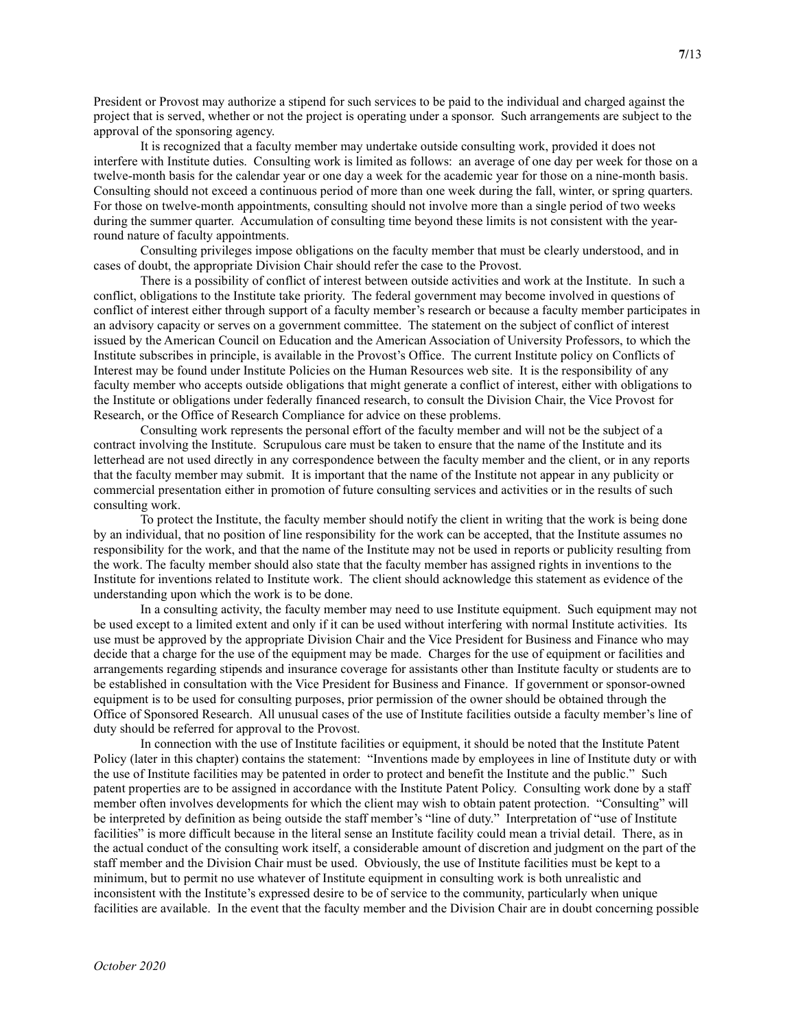President or Provost may authorize a stipend for such services to be paid to the individual and charged against the project that is served, whether or not the project is operating under a sponsor. Such arrangements are subject to the approval of the sponsoring agency.

 It is recognized that a faculty member may undertake outside consulting work, provided it does not interfere with Institute duties. Consulting work is limited as follows: an average of one day per week for those on a twelve-month basis for the calendar year or one day a week for the academic year for those on a nine-month basis. Consulting should not exceed a continuous period of more than one week during the fall, winter, or spring quarters. For those on twelve-month appointments, consulting should not involve more than a single period of two weeks during the summer quarter. Accumulation of consulting time beyond these limits is not consistent with the yearround nature of faculty appointments.

 Consulting privileges impose obligations on the faculty member that must be clearly understood, and in cases of doubt, the appropriate Division Chair should refer the case to the Provost.

 There is a possibility of conflict of interest between outside activities and work at the Institute. In such a conflict, obligations to the Institute take priority. The federal government may become involved in questions of conflict of interest either through support of a faculty member's research or because a faculty member participates in an advisory capacity or serves on a government committee. The statement on the subject of conflict of interest issued by the American Council on Education and the American Association of University Professors, to which the Institute subscribes in principle, is available in the Provost's Office. The current Institute policy on Conflicts of Interest may be found under Institute Policies on the Human Resources web site. It is the responsibility of any faculty member who accepts outside obligations that might generate a conflict of interest, either with obligations to the Institute or obligations under federally financed research, to consult the Division Chair, the Vice Provost for Research, or the Office of Research Compliance for advice on these problems.

 Consulting work represents the personal effort of the faculty member and will not be the subject of a contract involving the Institute. Scrupulous care must be taken to ensure that the name of the Institute and its letterhead are not used directly in any correspondence between the faculty member and the client, or in any reports that the faculty member may submit. It is important that the name of the Institute not appear in any publicity or commercial presentation either in promotion of future consulting services and activities or in the results of such consulting work.

 To protect the Institute, the faculty member should notify the client in writing that the work is being done by an individual, that no position of line responsibility for the work can be accepted, that the Institute assumes no responsibility for the work, and that the name of the Institute may not be used in reports or publicity resulting from the work. The faculty member should also state that the faculty member has assigned rights in inventions to the Institute for inventions related to Institute work. The client should acknowledge this statement as evidence of the understanding upon which the work is to be done.

 In a consulting activity, the faculty member may need to use Institute equipment. Such equipment may not be used except to a limited extent and only if it can be used without interfering with normal Institute activities. Its use must be approved by the appropriate Division Chair and the Vice President for Business and Finance who may decide that a charge for the use of the equipment may be made. Charges for the use of equipment or facilities and arrangements regarding stipends and insurance coverage for assistants other than Institute faculty or students are to be established in consultation with the Vice President for Business and Finance. If government or sponsor-owned equipment is to be used for consulting purposes, prior permission of the owner should be obtained through the Office of Sponsored Research. All unusual cases of the use of Institute facilities outside a faculty member's line of duty should be referred for approval to the Provost.

 In connection with the use of Institute facilities or equipment, it should be noted that the Institute Patent Policy (later in this chapter) contains the statement: "Inventions made by employees in line of Institute duty or with the use of Institute facilities may be patented in order to protect and benefit the Institute and the public." Such patent properties are to be assigned in accordance with the Institute Patent Policy. Consulting work done by a staff member often involves developments for which the client may wish to obtain patent protection. "Consulting" will be interpreted by definition as being outside the staff member's "line of duty." Interpretation of "use of Institute facilities" is more difficult because in the literal sense an Institute facility could mean a trivial detail. There, as in the actual conduct of the consulting work itself, a considerable amount of discretion and judgment on the part of the staff member and the Division Chair must be used. Obviously, the use of Institute facilities must be kept to a minimum, but to permit no use whatever of Institute equipment in consulting work is both unrealistic and inconsistent with the Institute's expressed desire to be of service to the community, particularly when unique facilities are available. In the event that the faculty member and the Division Chair are in doubt concerning possible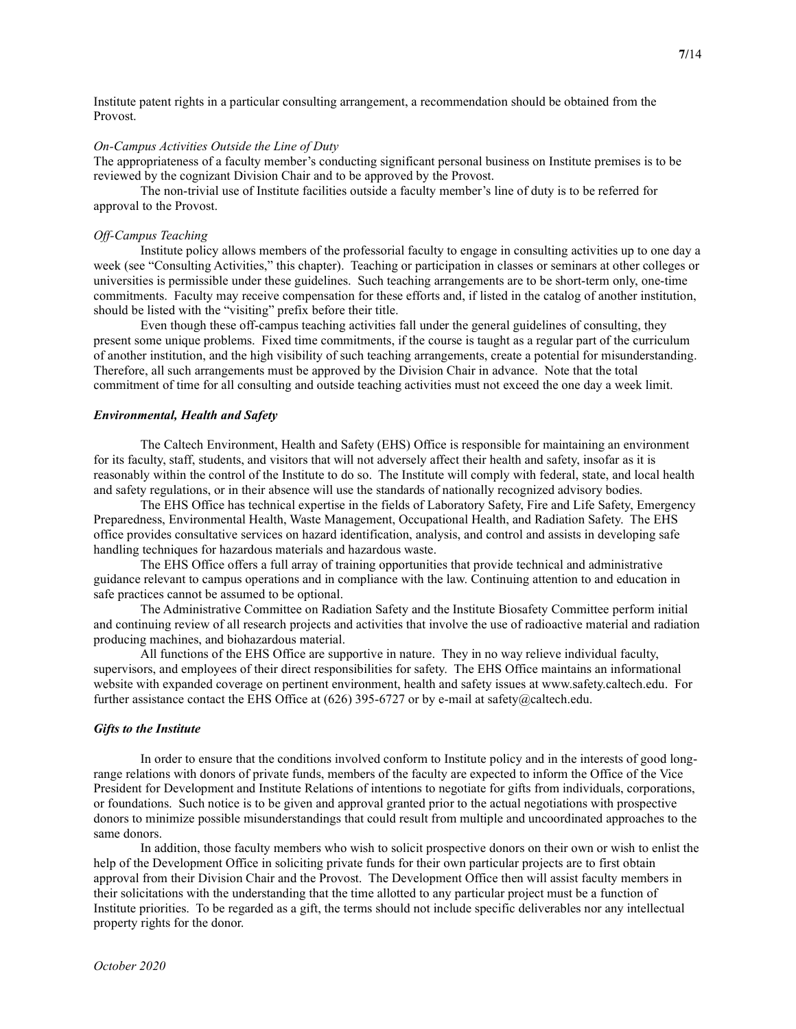Institute patent rights in a particular consulting arrangement, a recommendation should be obtained from the Provost.

#### On-Campus Activities Outside the Line of Duty

The appropriateness of a faculty member's conducting significant personal business on Institute premises is to be reviewed by the cognizant Division Chair and to be approved by the Provost.

 The non-trivial use of Institute facilities outside a faculty member's line of duty is to be referred for approval to the Provost.

# Off-Campus Teaching

Institute policy allows members of the professorial faculty to engage in consulting activities up to one day a week (see "Consulting Activities," this chapter). Teaching or participation in classes or seminars at other colleges or universities is permissible under these guidelines. Such teaching arrangements are to be short-term only, one-time commitments. Faculty may receive compensation for these efforts and, if listed in the catalog of another institution, should be listed with the "visiting" prefix before their title.

 Even though these off-campus teaching activities fall under the general guidelines of consulting, they present some unique problems. Fixed time commitments, if the course is taught as a regular part of the curriculum of another institution, and the high visibility of such teaching arrangements, create a potential for misunderstanding. Therefore, all such arrangements must be approved by the Division Chair in advance. Note that the total commitment of time for all consulting and outside teaching activities must not exceed the one day a week limit.

#### Environmental, Health and Safety

 The Caltech Environment, Health and Safety (EHS) Office is responsible for maintaining an environment for its faculty, staff, students, and visitors that will not adversely affect their health and safety, insofar as it is reasonably within the control of the Institute to do so. The Institute will comply with federal, state, and local health and safety regulations, or in their absence will use the standards of nationally recognized advisory bodies.

 The EHS Office has technical expertise in the fields of Laboratory Safety, Fire and Life Safety, Emergency Preparedness, Environmental Health, Waste Management, Occupational Health, and Radiation Safety. The EHS office provides consultative services on hazard identification, analysis, and control and assists in developing safe handling techniques for hazardous materials and hazardous waste.

 The EHS Office offers a full array of training opportunities that provide technical and administrative guidance relevant to campus operations and in compliance with the law. Continuing attention to and education in safe practices cannot be assumed to be optional.

 The Administrative Committee on Radiation Safety and the Institute Biosafety Committee perform initial and continuing review of all research projects and activities that involve the use of radioactive material and radiation producing machines, and biohazardous material.

 All functions of the EHS Office are supportive in nature. They in no way relieve individual faculty, supervisors, and employees of their direct responsibilities for safety. The EHS Office maintains an informational website with expanded coverage on pertinent environment, health and safety issues at www.safety.caltech.edu. For further assistance contact the EHS Office at  $(626)$  395-6727 or by e-mail at safety@caltech.edu.

#### Gifts to the Institute

 In order to ensure that the conditions involved conform to Institute policy and in the interests of good longrange relations with donors of private funds, members of the faculty are expected to inform the Office of the Vice President for Development and Institute Relations of intentions to negotiate for gifts from individuals, corporations, or foundations. Such notice is to be given and approval granted prior to the actual negotiations with prospective donors to minimize possible misunderstandings that could result from multiple and uncoordinated approaches to the same donors.

 In addition, those faculty members who wish to solicit prospective donors on their own or wish to enlist the help of the Development Office in soliciting private funds for their own particular projects are to first obtain approval from their Division Chair and the Provost. The Development Office then will assist faculty members in their solicitations with the understanding that the time allotted to any particular project must be a function of Institute priorities. To be regarded as a gift, the terms should not include specific deliverables nor any intellectual property rights for the donor.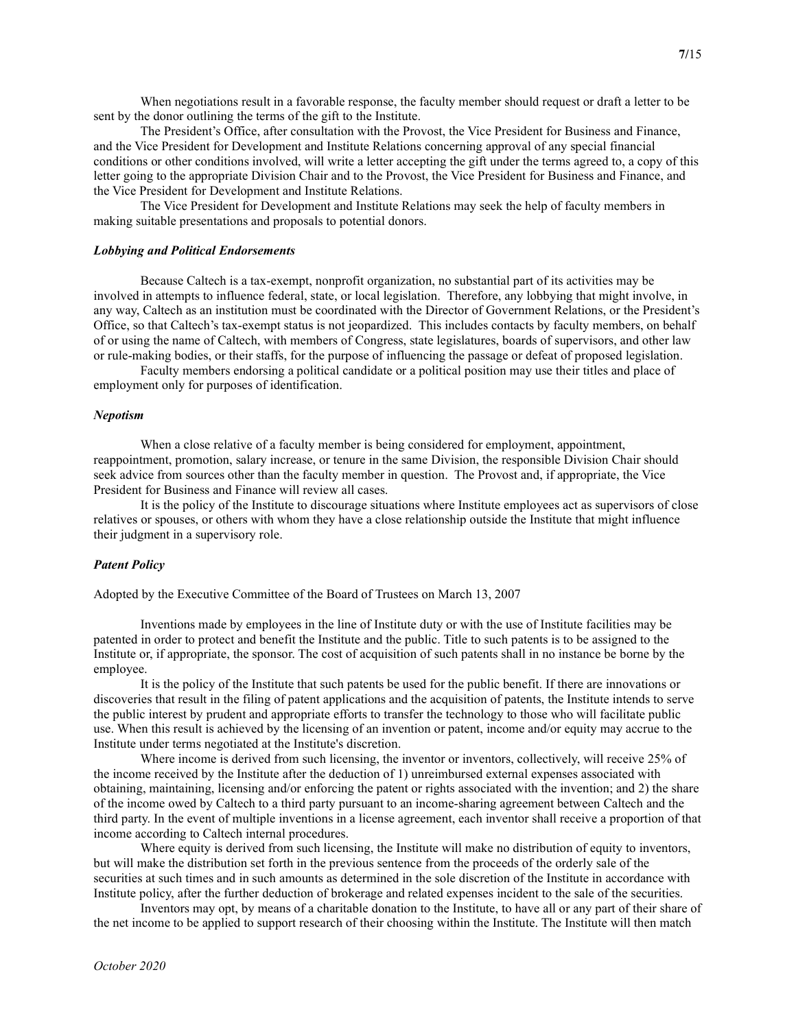When negotiations result in a favorable response, the faculty member should request or draft a letter to be sent by the donor outlining the terms of the gift to the Institute.

 The President's Office, after consultation with the Provost, the Vice President for Business and Finance, and the Vice President for Development and Institute Relations concerning approval of any special financial conditions or other conditions involved, will write a letter accepting the gift under the terms agreed to, a copy of this letter going to the appropriate Division Chair and to the Provost, the Vice President for Business and Finance, and the Vice President for Development and Institute Relations.

 The Vice President for Development and Institute Relations may seek the help of faculty members in making suitable presentations and proposals to potential donors.

#### Lobbying and Political Endorsements

 Because Caltech is a tax-exempt, nonprofit organization, no substantial part of its activities may be involved in attempts to influence federal, state, or local legislation. Therefore, any lobbying that might involve, in any way, Caltech as an institution must be coordinated with the Director of Government Relations, or the President's Office, so that Caltech's tax-exempt status is not jeopardized. This includes contacts by faculty members, on behalf of or using the name of Caltech, with members of Congress, state legislatures, boards of supervisors, and other law or rule-making bodies, or their staffs, for the purpose of influencing the passage or defeat of proposed legislation.

 Faculty members endorsing a political candidate or a political position may use their titles and place of employment only for purposes of identification.

#### Nepotism

 When a close relative of a faculty member is being considered for employment, appointment, reappointment, promotion, salary increase, or tenure in the same Division, the responsible Division Chair should seek advice from sources other than the faculty member in question. The Provost and, if appropriate, the Vice President for Business and Finance will review all cases.

 It is the policy of the Institute to discourage situations where Institute employees act as supervisors of close relatives or spouses, or others with whom they have a close relationship outside the Institute that might influence their judgment in a supervisory role.

#### Patent Policy

Adopted by the Executive Committee of the Board of Trustees on March 13, 2007

 Inventions made by employees in the line of Institute duty or with the use of Institute facilities may be patented in order to protect and benefit the Institute and the public. Title to such patents is to be assigned to the Institute or, if appropriate, the sponsor. The cost of acquisition of such patents shall in no instance be borne by the employee.

 It is the policy of the Institute that such patents be used for the public benefit. If there are innovations or discoveries that result in the filing of patent applications and the acquisition of patents, the Institute intends to serve the public interest by prudent and appropriate efforts to transfer the technology to those who will facilitate public use. When this result is achieved by the licensing of an invention or patent, income and/or equity may accrue to the Institute under terms negotiated at the Institute's discretion.

 Where income is derived from such licensing, the inventor or inventors, collectively, will receive 25% of the income received by the Institute after the deduction of 1) unreimbursed external expenses associated with obtaining, maintaining, licensing and/or enforcing the patent or rights associated with the invention; and 2) the share of the income owed by Caltech to a third party pursuant to an income-sharing agreement between Caltech and the third party. In the event of multiple inventions in a license agreement, each inventor shall receive a proportion of that income according to Caltech internal procedures.

 Where equity is derived from such licensing, the Institute will make no distribution of equity to inventors, but will make the distribution set forth in the previous sentence from the proceeds of the orderly sale of the securities at such times and in such amounts as determined in the sole discretion of the Institute in accordance with Institute policy, after the further deduction of brokerage and related expenses incident to the sale of the securities.

 Inventors may opt, by means of a charitable donation to the Institute, to have all or any part of their share of the net income to be applied to support research of their choosing within the Institute. The Institute will then match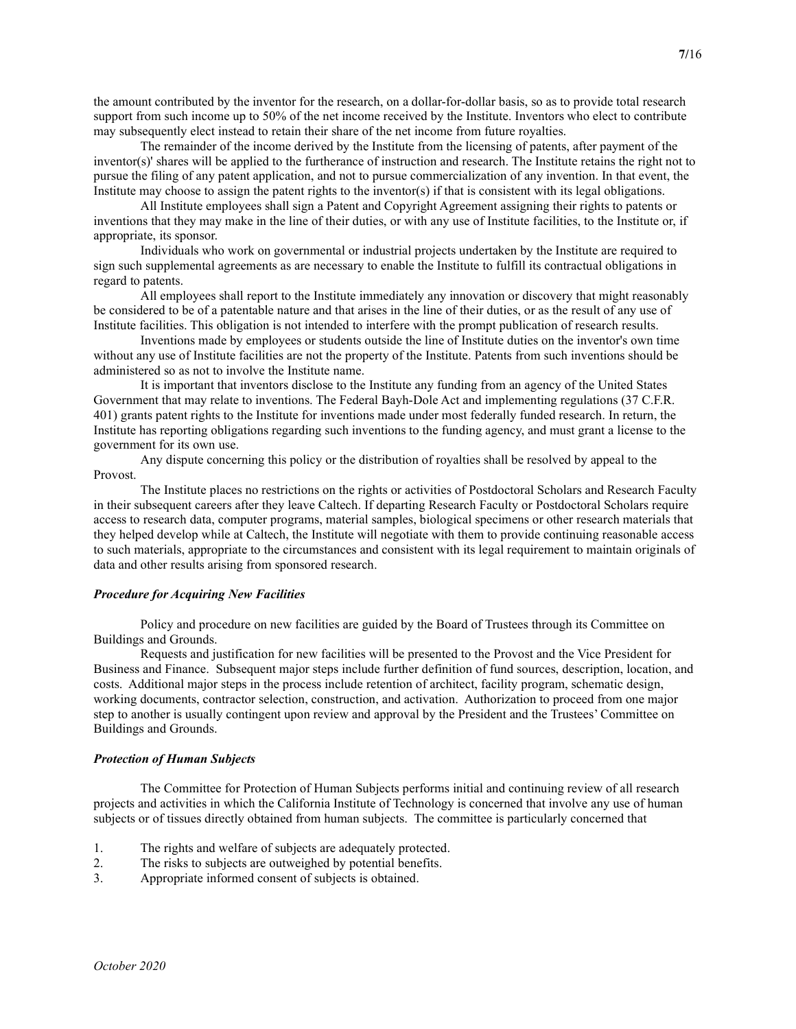the amount contributed by the inventor for the research, on a dollar-for-dollar basis, so as to provide total research support from such income up to 50% of the net income received by the Institute. Inventors who elect to contribute may subsequently elect instead to retain their share of the net income from future royalties.

 The remainder of the income derived by the Institute from the licensing of patents, after payment of the inventor(s)' shares will be applied to the furtherance of instruction and research. The Institute retains the right not to pursue the filing of any patent application, and not to pursue commercialization of any invention. In that event, the Institute may choose to assign the patent rights to the inventor(s) if that is consistent with its legal obligations.

 All Institute employees shall sign a Patent and Copyright Agreement assigning their rights to patents or inventions that they may make in the line of their duties, or with any use of Institute facilities, to the Institute or, if appropriate, its sponsor.

 Individuals who work on governmental or industrial projects undertaken by the Institute are required to sign such supplemental agreements as are necessary to enable the Institute to fulfill its contractual obligations in regard to patents.

 All employees shall report to the Institute immediately any innovation or discovery that might reasonably be considered to be of a patentable nature and that arises in the line of their duties, or as the result of any use of Institute facilities. This obligation is not intended to interfere with the prompt publication of research results.

 Inventions made by employees or students outside the line of Institute duties on the inventor's own time without any use of Institute facilities are not the property of the Institute. Patents from such inventions should be administered so as not to involve the Institute name.

 It is important that inventors disclose to the Institute any funding from an agency of the United States Government that may relate to inventions. The Federal Bayh-Dole Act and implementing regulations (37 C.F.R. 401) grants patent rights to the Institute for inventions made under most federally funded research. In return, the Institute has reporting obligations regarding such inventions to the funding agency, and must grant a license to the government for its own use.

 Any dispute concerning this policy or the distribution of royalties shall be resolved by appeal to the Provost.

 The Institute places no restrictions on the rights or activities of Postdoctoral Scholars and Research Faculty in their subsequent careers after they leave Caltech. If departing Research Faculty or Postdoctoral Scholars require access to research data, computer programs, material samples, biological specimens or other research materials that they helped develop while at Caltech, the Institute will negotiate with them to provide continuing reasonable access to such materials, appropriate to the circumstances and consistent with its legal requirement to maintain originals of data and other results arising from sponsored research.

# Procedure for Acquiring New Facilities

 Policy and procedure on new facilities are guided by the Board of Trustees through its Committee on Buildings and Grounds.

 Requests and justification for new facilities will be presented to the Provost and the Vice President for Business and Finance. Subsequent major steps include further definition of fund sources, description, location, and costs. Additional major steps in the process include retention of architect, facility program, schematic design, working documents, contractor selection, construction, and activation. Authorization to proceed from one major step to another is usually contingent upon review and approval by the President and the Trustees' Committee on Buildings and Grounds.

#### Protection of Human Subjects

 The Committee for Protection of Human Subjects performs initial and continuing review of all research projects and activities in which the California Institute of Technology is concerned that involve any use of human subjects or of tissues directly obtained from human subjects. The committee is particularly concerned that

- 1. The rights and welfare of subjects are adequately protected.
- 2. The risks to subjects are outweighed by potential benefits.
- 3. Appropriate informed consent of subjects is obtained.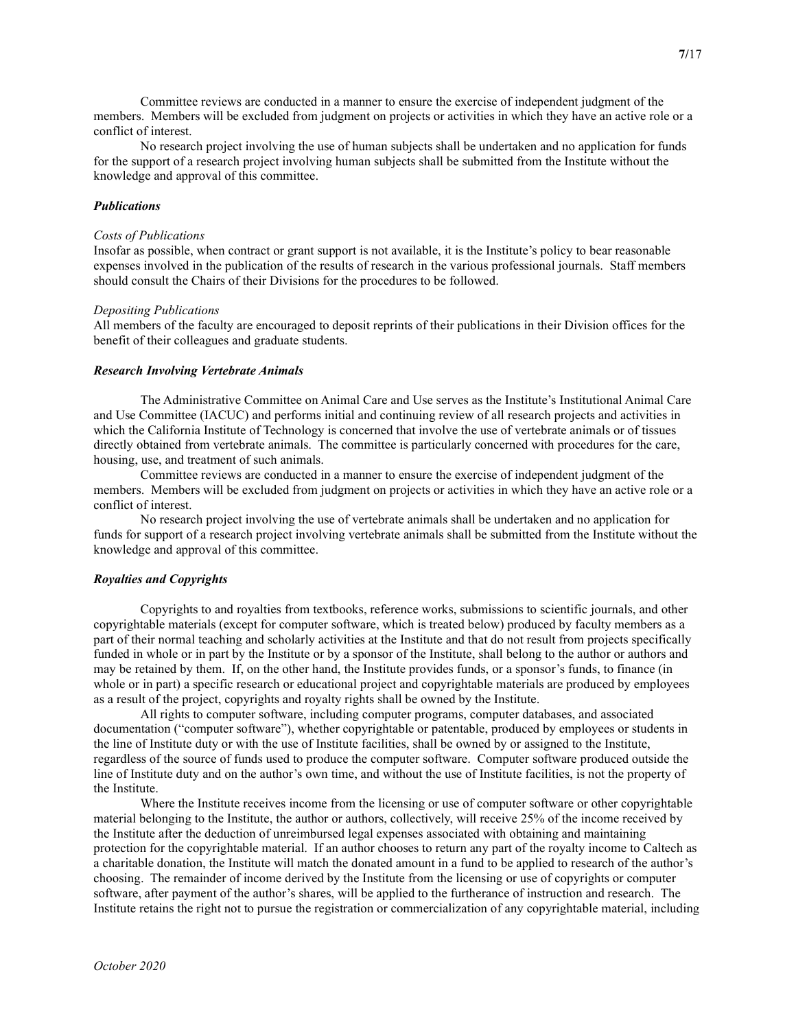Committee reviews are conducted in a manner to ensure the exercise of independent judgment of the members. Members will be excluded from judgment on projects or activities in which they have an active role or a conflict of interest.

 No research project involving the use of human subjects shall be undertaken and no application for funds for the support of a research project involving human subjects shall be submitted from the Institute without the knowledge and approval of this committee.

# Publications

#### Costs of Publications

Insofar as possible, when contract or grant support is not available, it is the Institute's policy to bear reasonable expenses involved in the publication of the results of research in the various professional journals. Staff members should consult the Chairs of their Divisions for the procedures to be followed.

#### Depositing Publications

All members of the faculty are encouraged to deposit reprints of their publications in their Division offices for the benefit of their colleagues and graduate students.

#### Research Involving Vertebrate Animals

 The Administrative Committee on Animal Care and Use serves as the Institute's Institutional Animal Care and Use Committee (IACUC) and performs initial and continuing review of all research projects and activities in which the California Institute of Technology is concerned that involve the use of vertebrate animals or of tissues directly obtained from vertebrate animals. The committee is particularly concerned with procedures for the care, housing, use, and treatment of such animals.

 Committee reviews are conducted in a manner to ensure the exercise of independent judgment of the members. Members will be excluded from judgment on projects or activities in which they have an active role or a conflict of interest.

 No research project involving the use of vertebrate animals shall be undertaken and no application for funds for support of a research project involving vertebrate animals shall be submitted from the Institute without the knowledge and approval of this committee.

#### Royalties and Copyrights

 Copyrights to and royalties from textbooks, reference works, submissions to scientific journals, and other copyrightable materials (except for computer software, which is treated below) produced by faculty members as a part of their normal teaching and scholarly activities at the Institute and that do not result from projects specifically funded in whole or in part by the Institute or by a sponsor of the Institute, shall belong to the author or authors and may be retained by them. If, on the other hand, the Institute provides funds, or a sponsor's funds, to finance (in whole or in part) a specific research or educational project and copyrightable materials are produced by employees as a result of the project, copyrights and royalty rights shall be owned by the Institute.

 All rights to computer software, including computer programs, computer databases, and associated documentation ("computer software"), whether copyrightable or patentable, produced by employees or students in the line of Institute duty or with the use of Institute facilities, shall be owned by or assigned to the Institute, regardless of the source of funds used to produce the computer software. Computer software produced outside the line of Institute duty and on the author's own time, and without the use of Institute facilities, is not the property of the Institute.

 Where the Institute receives income from the licensing or use of computer software or other copyrightable material belonging to the Institute, the author or authors, collectively, will receive 25% of the income received by the Institute after the deduction of unreimbursed legal expenses associated with obtaining and maintaining protection for the copyrightable material. If an author chooses to return any part of the royalty income to Caltech as a charitable donation, the Institute will match the donated amount in a fund to be applied to research of the author's choosing. The remainder of income derived by the Institute from the licensing or use of copyrights or computer software, after payment of the author's shares, will be applied to the furtherance of instruction and research. The Institute retains the right not to pursue the registration or commercialization of any copyrightable material, including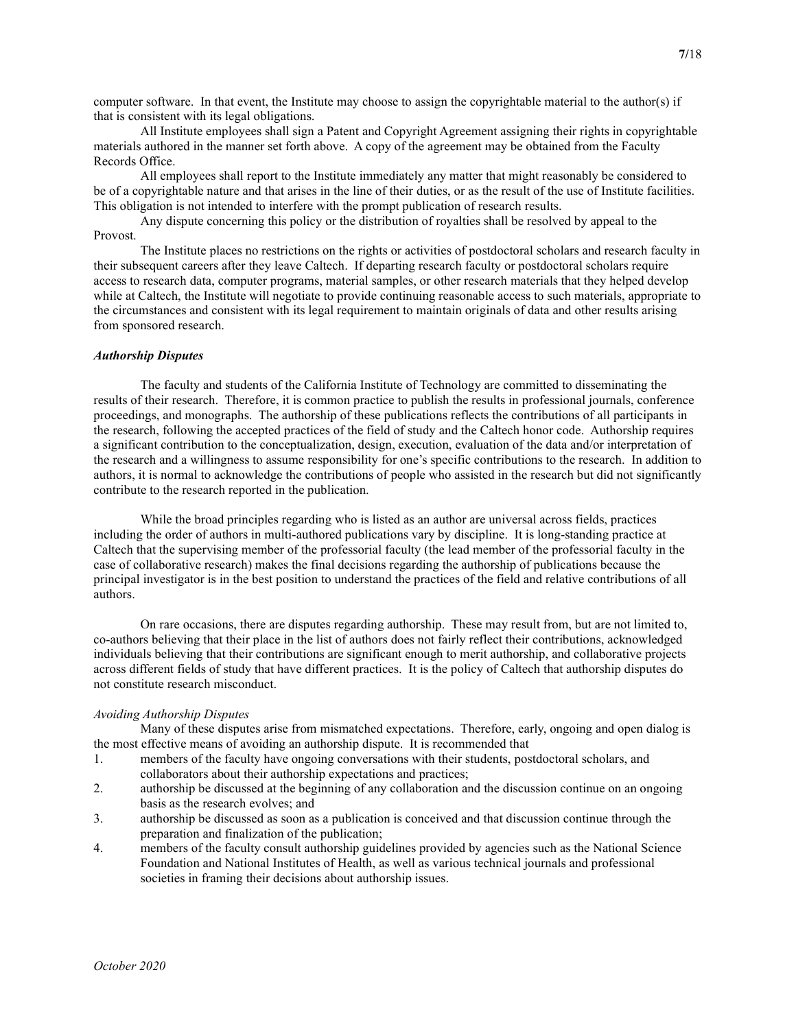computer software. In that event, the Institute may choose to assign the copyrightable material to the author(s) if that is consistent with its legal obligations.

 All Institute employees shall sign a Patent and Copyright Agreement assigning their rights in copyrightable materials authored in the manner set forth above. A copy of the agreement may be obtained from the Faculty Records Office.

 All employees shall report to the Institute immediately any matter that might reasonably be considered to be of a copyrightable nature and that arises in the line of their duties, or as the result of the use of Institute facilities. This obligation is not intended to interfere with the prompt publication of research results.

 Any dispute concerning this policy or the distribution of royalties shall be resolved by appeal to the Provost.

 The Institute places no restrictions on the rights or activities of postdoctoral scholars and research faculty in their subsequent careers after they leave Caltech. If departing research faculty or postdoctoral scholars require access to research data, computer programs, material samples, or other research materials that they helped develop while at Caltech, the Institute will negotiate to provide continuing reasonable access to such materials, appropriate to the circumstances and consistent with its legal requirement to maintain originals of data and other results arising from sponsored research.

#### Authorship Disputes

The faculty and students of the California Institute of Technology are committed to disseminating the results of their research. Therefore, it is common practice to publish the results in professional journals, conference proceedings, and monographs. The authorship of these publications reflects the contributions of all participants in the research, following the accepted practices of the field of study and the Caltech honor code. Authorship requires a significant contribution to the conceptualization, design, execution, evaluation of the data and/or interpretation of the research and a willingness to assume responsibility for one's specific contributions to the research. In addition to authors, it is normal to acknowledge the contributions of people who assisted in the research but did not significantly contribute to the research reported in the publication.

While the broad principles regarding who is listed as an author are universal across fields, practices including the order of authors in multi-authored publications vary by discipline. It is long-standing practice at Caltech that the supervising member of the professorial faculty (the lead member of the professorial faculty in the case of collaborative research) makes the final decisions regarding the authorship of publications because the principal investigator is in the best position to understand the practices of the field and relative contributions of all authors.

On rare occasions, there are disputes regarding authorship. These may result from, but are not limited to, co-authors believing that their place in the list of authors does not fairly reflect their contributions, acknowledged individuals believing that their contributions are significant enough to merit authorship, and collaborative projects across different fields of study that have different practices. It is the policy of Caltech that authorship disputes do not constitute research misconduct.

#### Avoiding Authorship Disputes

Many of these disputes arise from mismatched expectations. Therefore, early, ongoing and open dialog is the most effective means of avoiding an authorship dispute. It is recommended that

- 1. members of the faculty have ongoing conversations with their students, postdoctoral scholars, and collaborators about their authorship expectations and practices;
- 2. authorship be discussed at the beginning of any collaboration and the discussion continue on an ongoing basis as the research evolves; and
- 3. authorship be discussed as soon as a publication is conceived and that discussion continue through the preparation and finalization of the publication;
- 4. members of the faculty consult authorship guidelines provided by agencies such as the National Science Foundation and National Institutes of Health, as well as various technical journals and professional societies in framing their decisions about authorship issues.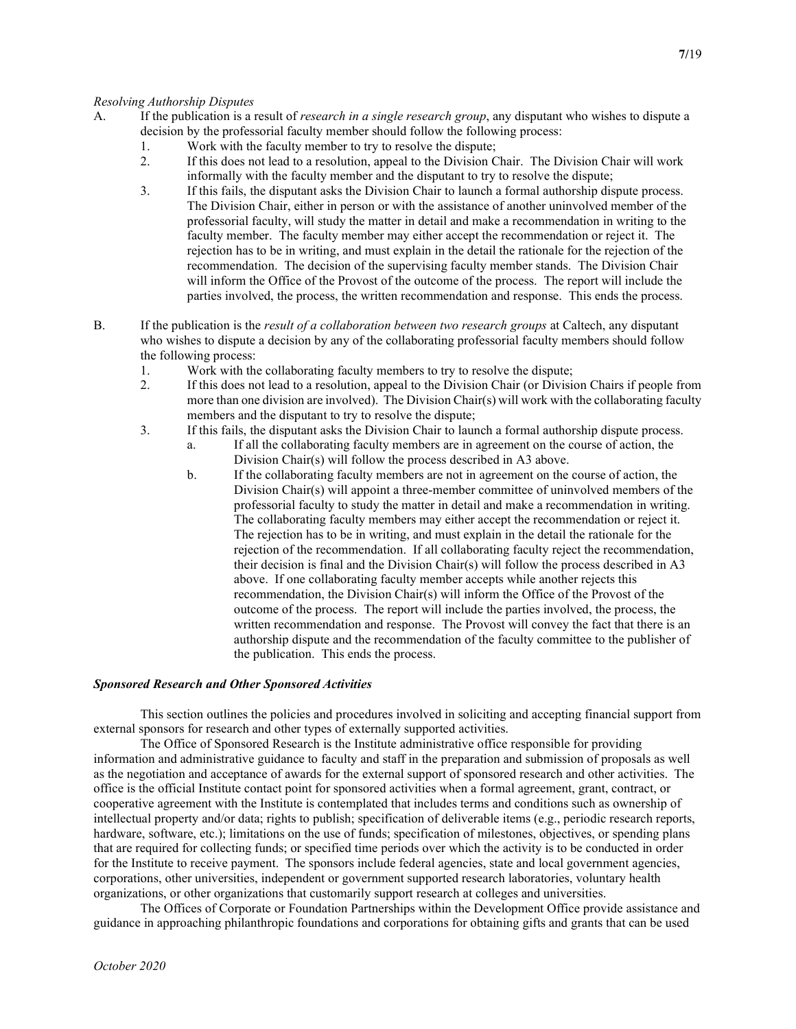- A. If the publication is a result of *research in a single research group*, any disputant who wishes to dispute a decision by the professorial faculty member should follow the following process:
	- 1. Work with the faculty member to try to resolve the dispute;
	- 2. If this does not lead to a resolution, appeal to the Division Chair. The Division Chair will work informally with the faculty member and the disputant to try to resolve the dispute;
	- 3. If this fails, the disputant asks the Division Chair to launch a formal authorship dispute process. The Division Chair, either in person or with the assistance of another uninvolved member of the professorial faculty, will study the matter in detail and make a recommendation in writing to the faculty member. The faculty member may either accept the recommendation or reject it. The rejection has to be in writing, and must explain in the detail the rationale for the rejection of the recommendation. The decision of the supervising faculty member stands. The Division Chair will inform the Office of the Provost of the outcome of the process. The report will include the parties involved, the process, the written recommendation and response. This ends the process.
- B. If the publication is the *result of a collaboration between two research groups* at Caltech, any disputant who wishes to dispute a decision by any of the collaborating professorial faculty members should follow the following process:
	- 1. Work with the collaborating faculty members to try to resolve the dispute;
	- 2. If this does not lead to a resolution, appeal to the Division Chair (or Division Chairs if people from more than one division are involved). The Division Chair(s) will work with the collaborating faculty members and the disputant to try to resolve the dispute;
	- 3. If this fails, the disputant asks the Division Chair to launch a formal authorship dispute process.
		- a. If all the collaborating faculty members are in agreement on the course of action, the Division Chair(s) will follow the process described in A3 above.
		- b. If the collaborating faculty members are not in agreement on the course of action, the Division Chair(s) will appoint a three-member committee of uninvolved members of the professorial faculty to study the matter in detail and make a recommendation in writing. The collaborating faculty members may either accept the recommendation or reject it. The rejection has to be in writing, and must explain in the detail the rationale for the rejection of the recommendation. If all collaborating faculty reject the recommendation, their decision is final and the Division Chair(s) will follow the process described in A3 above. If one collaborating faculty member accepts while another rejects this recommendation, the Division Chair(s) will inform the Office of the Provost of the outcome of the process. The report will include the parties involved, the process, the written recommendation and response. The Provost will convey the fact that there is an authorship dispute and the recommendation of the faculty committee to the publisher of the publication. This ends the process.

## Sponsored Research and Other Sponsored Activities

 This section outlines the policies and procedures involved in soliciting and accepting financial support from external sponsors for research and other types of externally supported activities.

 The Office of Sponsored Research is the Institute administrative office responsible for providing information and administrative guidance to faculty and staff in the preparation and submission of proposals as well as the negotiation and acceptance of awards for the external support of sponsored research and other activities. The office is the official Institute contact point for sponsored activities when a formal agreement, grant, contract, or cooperative agreement with the Institute is contemplated that includes terms and conditions such as ownership of intellectual property and/or data; rights to publish; specification of deliverable items (e.g., periodic research reports, hardware, software, etc.); limitations on the use of funds; specification of milestones, objectives, or spending plans that are required for collecting funds; or specified time periods over which the activity is to be conducted in order for the Institute to receive payment. The sponsors include federal agencies, state and local government agencies, corporations, other universities, independent or government supported research laboratories, voluntary health organizations, or other organizations that customarily support research at colleges and universities.

 The Offices of Corporate or Foundation Partnerships within the Development Office provide assistance and guidance in approaching philanthropic foundations and corporations for obtaining gifts and grants that can be used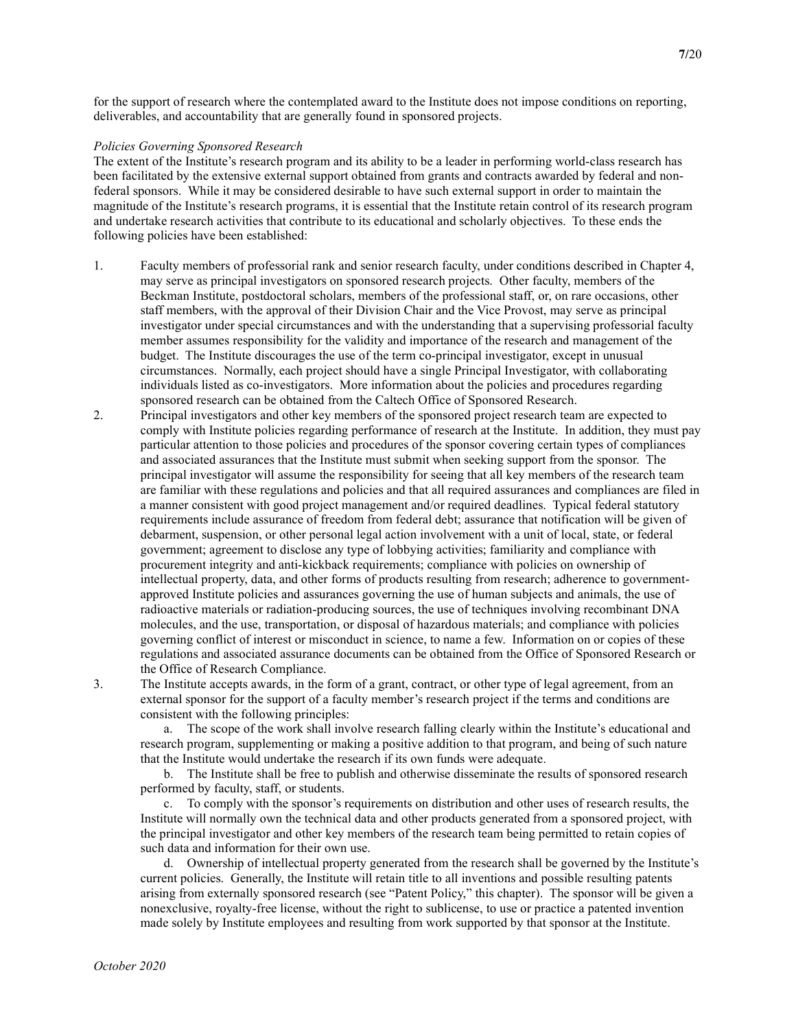for the support of research where the contemplated award to the Institute does not impose conditions on reporting, deliverables, and accountability that are generally found in sponsored projects.

#### Policies Governing Sponsored Research

The extent of the Institute's research program and its ability to be a leader in performing world-class research has been facilitated by the extensive external support obtained from grants and contracts awarded by federal and nonfederal sponsors. While it may be considered desirable to have such external support in order to maintain the magnitude of the Institute's research programs, it is essential that the Institute retain control of its research program and undertake research activities that contribute to its educational and scholarly objectives. To these ends the following policies have been established:

- 1. Faculty members of professorial rank and senior research faculty, under conditions described in Chapter 4, may serve as principal investigators on sponsored research projects. Other faculty, members of the Beckman Institute, postdoctoral scholars, members of the professional staff, or, on rare occasions, other staff members, with the approval of their Division Chair and the Vice Provost, may serve as principal investigator under special circumstances and with the understanding that a supervising professorial faculty member assumes responsibility for the validity and importance of the research and management of the budget. The Institute discourages the use of the term co-principal investigator, except in unusual circumstances. Normally, each project should have a single Principal Investigator, with collaborating individuals listed as co-investigators. More information about the policies and procedures regarding sponsored research can be obtained from the Caltech Office of Sponsored Research.
- 2. Principal investigators and other key members of the sponsored project research team are expected to comply with Institute policies regarding performance of research at the Institute. In addition, they must pay particular attention to those policies and procedures of the sponsor covering certain types of compliances and associated assurances that the Institute must submit when seeking support from the sponsor. The principal investigator will assume the responsibility for seeing that all key members of the research team are familiar with these regulations and policies and that all required assurances and compliances are filed in a manner consistent with good project management and/or required deadlines. Typical federal statutory requirements include assurance of freedom from federal debt; assurance that notification will be given of debarment, suspension, or other personal legal action involvement with a unit of local, state, or federal government; agreement to disclose any type of lobbying activities; familiarity and compliance with procurement integrity and anti-kickback requirements; compliance with policies on ownership of intellectual property, data, and other forms of products resulting from research; adherence to governmentapproved Institute policies and assurances governing the use of human subjects and animals, the use of radioactive materials or radiation-producing sources, the use of techniques involving recombinant DNA molecules, and the use, transportation, or disposal of hazardous materials; and compliance with policies governing conflict of interest or misconduct in science, to name a few. Information on or copies of these regulations and associated assurance documents can be obtained from the Office of Sponsored Research or the Office of Research Compliance.
- 

3. The Institute accepts awards, in the form of a grant, contract, or other type of legal agreement, from an external sponsor for the support of a faculty member's research project if the terms and conditions are consistent with the following principles:

a. The scope of the work shall involve research falling clearly within the Institute's educational and research program, supplementing or making a positive addition to that program, and being of such nature that the Institute would undertake the research if its own funds were adequate.

b. The Institute shall be free to publish and otherwise disseminate the results of sponsored research performed by faculty, staff, or students.

c. To comply with the sponsor's requirements on distribution and other uses of research results, the Institute will normally own the technical data and other products generated from a sponsored project, with the principal investigator and other key members of the research team being permitted to retain copies of such data and information for their own use.

d. Ownership of intellectual property generated from the research shall be governed by the Institute's current policies. Generally, the Institute will retain title to all inventions and possible resulting patents arising from externally sponsored research (see "Patent Policy," this chapter). The sponsor will be given a nonexclusive, royalty-free license, without the right to sublicense, to use or practice a patented invention made solely by Institute employees and resulting from work supported by that sponsor at the Institute.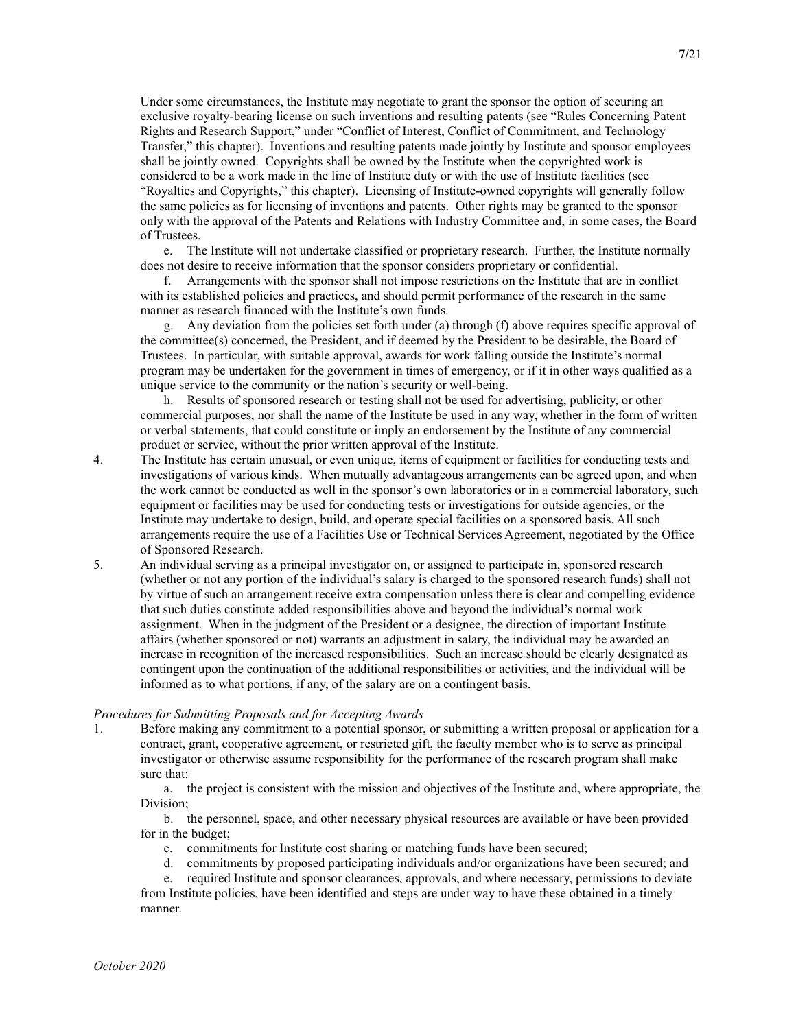Under some circumstances, the Institute may negotiate to grant the sponsor the option of securing an exclusive royalty-bearing license on such inventions and resulting patents (see "Rules Concerning Patent Rights and Research Support," under "Conflict of Interest, Conflict of Commitment, and Technology Transfer," this chapter). Inventions and resulting patents made jointly by Institute and sponsor employees shall be jointly owned. Copyrights shall be owned by the Institute when the copyrighted work is considered to be a work made in the line of Institute duty or with the use of Institute facilities (see "Royalties and Copyrights," this chapter). Licensing of Institute-owned copyrights will generally follow the same policies as for licensing of inventions and patents. Other rights may be granted to the sponsor only with the approval of the Patents and Relations with Industry Committee and, in some cases, the Board of Trustees.

e. The Institute will not undertake classified or proprietary research. Further, the Institute normally does not desire to receive information that the sponsor considers proprietary or confidential.

f. Arrangements with the sponsor shall not impose restrictions on the Institute that are in conflict with its established policies and practices, and should permit performance of the research in the same manner as research financed with the Institute's own funds.

g. Any deviation from the policies set forth under (a) through (f) above requires specific approval of the committee(s) concerned, the President, and if deemed by the President to be desirable, the Board of Trustees. In particular, with suitable approval, awards for work falling outside the Institute's normal program may be undertaken for the government in times of emergency, or if it in other ways qualified as a unique service to the community or the nation's security or well-being.

h. Results of sponsored research or testing shall not be used for advertising, publicity, or other commercial purposes, nor shall the name of the Institute be used in any way, whether in the form of written or verbal statements, that could constitute or imply an endorsement by the Institute of any commercial product or service, without the prior written approval of the Institute.

- 4. The Institute has certain unusual, or even unique, items of equipment or facilities for conducting tests and investigations of various kinds. When mutually advantageous arrangements can be agreed upon, and when the work cannot be conducted as well in the sponsor's own laboratories or in a commercial laboratory, such equipment or facilities may be used for conducting tests or investigations for outside agencies, or the Institute may undertake to design, build, and operate special facilities on a sponsored basis. All such arrangements require the use of a Facilities Use or Technical Services Agreement, negotiated by the Office of Sponsored Research.
- 5. An individual serving as a principal investigator on, or assigned to participate in, sponsored research (whether or not any portion of the individual's salary is charged to the sponsored research funds) shall not by virtue of such an arrangement receive extra compensation unless there is clear and compelling evidence that such duties constitute added responsibilities above and beyond the individual's normal work assignment. When in the judgment of the President or a designee, the direction of important Institute affairs (whether sponsored or not) warrants an adjustment in salary, the individual may be awarded an increase in recognition of the increased responsibilities. Such an increase should be clearly designated as contingent upon the continuation of the additional responsibilities or activities, and the individual will be informed as to what portions, if any, of the salary are on a contingent basis.

#### Procedures for Submitting Proposals and for Accepting Awards

1. Before making any commitment to a potential sponsor, or submitting a written proposal or application for a contract, grant, cooperative agreement, or restricted gift, the faculty member who is to serve as principal investigator or otherwise assume responsibility for the performance of the research program shall make sure that:

a. the project is consistent with the mission and objectives of the Institute and, where appropriate, the Division;

b. the personnel, space, and other necessary physical resources are available or have been provided for in the budget;

- c. commitments for Institute cost sharing or matching funds have been secured;
- d. commitments by proposed participating individuals and/or organizations have been secured; and

e. required Institute and sponsor clearances, approvals, and where necessary, permissions to deviate from Institute policies, have been identified and steps are under way to have these obtained in a timely manner.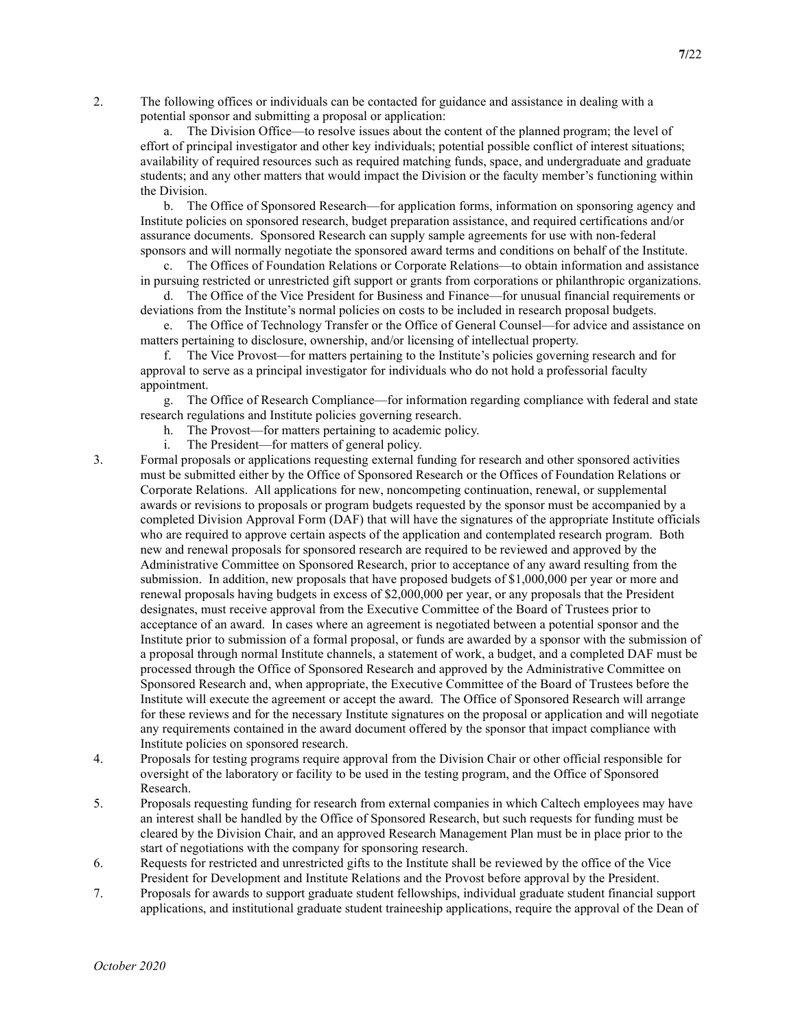2. The following offices or individuals can be contacted for guidance and assistance in dealing with a potential sponsor and submitting a proposal or application:

a. The Division Office—to resolve issues about the content of the planned program; the level of effort of principal investigator and other key individuals; potential possible conflict of interest situations; availability of required resources such as required matching funds, space, and undergraduate and graduate students; and any other matters that would impact the Division or the faculty member's functioning within the Division.

b. The Office of Sponsored Research—for application forms, information on sponsoring agency and Institute policies on sponsored research, budget preparation assistance, and required certifications and/or assurance documents. Sponsored Research can supply sample agreements for use with non-federal sponsors and will normally negotiate the sponsored award terms and conditions on behalf of the Institute.

c. The Offices of Foundation Relations or Corporate Relations—to obtain information and assistance in pursuing restricted or unrestricted gift support or grants from corporations or philanthropic organizations.

d. The Office of the Vice President for Business and Finance—for unusual financial requirements or deviations from the Institute's normal policies on costs to be included in research proposal budgets.

e. The Office of Technology Transfer or the Office of General Counsel—for advice and assistance on matters pertaining to disclosure, ownership, and/or licensing of intellectual property.

f. The Vice Provost—for matters pertaining to the Institute's policies governing research and for approval to serve as a principal investigator for individuals who do not hold a professorial faculty appointment.

g. The Office of Research Compliance—for information regarding compliance with federal and state research regulations and Institute policies governing research.

- h. The Provost—for matters pertaining to academic policy.
- i. The President—for matters of general policy.
- 3. Formal proposals or applications requesting external funding for research and other sponsored activities must be submitted either by the Office of Sponsored Research or the Offices of Foundation Relations or Corporate Relations. All applications for new, noncompeting continuation, renewal, or supplemental awards or revisions to proposals or program budgets requested by the sponsor must be accompanied by a completed Division Approval Form (DAF) that will have the signatures of the appropriate Institute officials who are required to approve certain aspects of the application and contemplated research program. Both new and renewal proposals for sponsored research are required to be reviewed and approved by the Administrative Committee on Sponsored Research, prior to acceptance of any award resulting from the submission. In addition, new proposals that have proposed budgets of \$1,000,000 per year or more and renewal proposals having budgets in excess of \$2,000,000 per year, or any proposals that the President designates, must receive approval from the Executive Committee of the Board of Trustees prior to acceptance of an award. In cases where an agreement is negotiated between a potential sponsor and the Institute prior to submission of a formal proposal, or funds are awarded by a sponsor with the submission of a proposal through normal Institute channels, a statement of work, a budget, and a completed DAF must be processed through the Office of Sponsored Research and approved by the Administrative Committee on Sponsored Research and, when appropriate, the Executive Committee of the Board of Trustees before the Institute will execute the agreement or accept the award. The Office of Sponsored Research will arrange for these reviews and for the necessary Institute signatures on the proposal or application and will negotiate any requirements contained in the award document offered by the sponsor that impact compliance with Institute policies on sponsored research.
- 4. Proposals for testing programs require approval from the Division Chair or other official responsible for oversight of the laboratory or facility to be used in the testing program, and the Office of Sponsored Research.
- 5. Proposals requesting funding for research from external companies in which Caltech employees may have an interest shall be handled by the Office of Sponsored Research, but such requests for funding must be cleared by the Division Chair, and an approved Research Management Plan must be in place prior to the start of negotiations with the company for sponsoring research.
- 6. Requests for restricted and unrestricted gifts to the Institute shall be reviewed by the office of the Vice President for Development and Institute Relations and the Provost before approval by the President.
- 7. Proposals for awards to support graduate student fellowships, individual graduate student financial support applications, and institutional graduate student traineeship applications, require the approval of the Dean of

7/22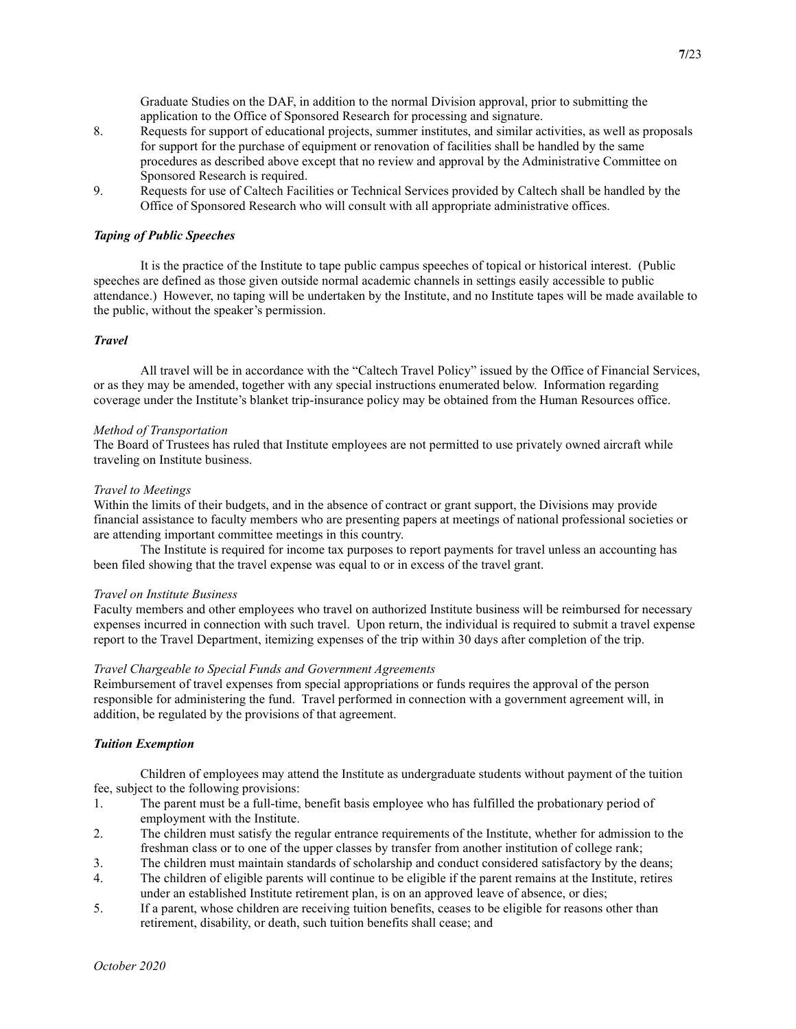Graduate Studies on the DAF, in addition to the normal Division approval, prior to submitting the application to the Office of Sponsored Research for processing and signature.

- 8. Requests for support of educational projects, summer institutes, and similar activities, as well as proposals for support for the purchase of equipment or renovation of facilities shall be handled by the same procedures as described above except that no review and approval by the Administrative Committee on Sponsored Research is required.
- 9. Requests for use of Caltech Facilities or Technical Services provided by Caltech shall be handled by the Office of Sponsored Research who will consult with all appropriate administrative offices.

# Taping of Public Speeches

 It is the practice of the Institute to tape public campus speeches of topical or historical interest. (Public speeches are defined as those given outside normal academic channels in settings easily accessible to public attendance.) However, no taping will be undertaken by the Institute, and no Institute tapes will be made available to the public, without the speaker's permission.

# **Travel**

 All travel will be in accordance with the "Caltech Travel Policy" issued by the Office of Financial Services, or as they may be amended, together with any special instructions enumerated below. Information regarding coverage under the Institute's blanket trip-insurance policy may be obtained from the Human Resources office.

## Method of Transportation

The Board of Trustees has ruled that Institute employees are not permitted to use privately owned aircraft while traveling on Institute business.

#### Travel to Meetings

Within the limits of their budgets, and in the absence of contract or grant support, the Divisions may provide financial assistance to faculty members who are presenting papers at meetings of national professional societies or are attending important committee meetings in this country.

 The Institute is required for income tax purposes to report payments for travel unless an accounting has been filed showing that the travel expense was equal to or in excess of the travel grant.

#### Travel on Institute Business

Faculty members and other employees who travel on authorized Institute business will be reimbursed for necessary expenses incurred in connection with such travel. Upon return, the individual is required to submit a travel expense report to the Travel Department, itemizing expenses of the trip within 30 days after completion of the trip.

## Travel Chargeable to Special Funds and Government Agreements

Reimbursement of travel expenses from special appropriations or funds requires the approval of the person responsible for administering the fund. Travel performed in connection with a government agreement will, in addition, be regulated by the provisions of that agreement.

## Tuition Exemption

 Children of employees may attend the Institute as undergraduate students without payment of the tuition fee, subject to the following provisions:

- 1. The parent must be a full-time, benefit basis employee who has fulfilled the probationary period of employment with the Institute.
- 2. The children must satisfy the regular entrance requirements of the Institute, whether for admission to the freshman class or to one of the upper classes by transfer from another institution of college rank;
- 3. The children must maintain standards of scholarship and conduct considered satisfactory by the deans;
- 4. The children of eligible parents will continue to be eligible if the parent remains at the Institute, retires under an established Institute retirement plan, is on an approved leave of absence, or dies;
- 5. If a parent, whose children are receiving tuition benefits, ceases to be eligible for reasons other than retirement, disability, or death, such tuition benefits shall cease; and